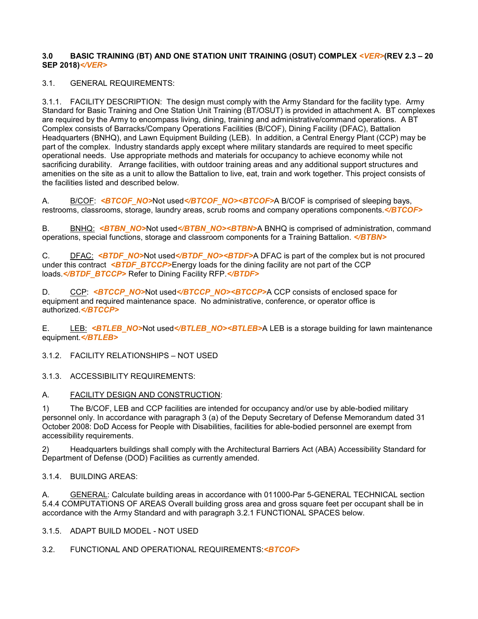#### **3.0 BASIC TRAINING (BT) AND ONE STATION UNIT TRAINING (OSUT) COMPLEX** *<VER>***(REV 2.3 – 20 SEP 2018)***</VER>*

#### 3.1. GENERAL REQUIREMENTS:

3.1.1. FACILITY DESCRIPTION: The design must comply with the Army Standard for the facility type. Army Standard for Basic Training and One Station Unit Training (BT/OSUT) is provided in attachment A. BT complexes are required by the Army to encompass living, dining, training and administrative/command operations. A BT Complex consists of Barracks/Company Operations Facilities (B/COF), Dining Facility (DFAC), Battalion Headquarters (BNHQ), and Lawn Equipment Building (LEB). In addition, a Central Energy Plant (CCP) may be part of the complex. Industry standards apply except where military standards are required to meet specific operational needs. Use appropriate methods and materials for occupancy to achieve economy while not sacrificing durability. Arrange facilities, with outdoor training areas and any additional support structures and amenities on the site as a unit to allow the Battalion to live, eat, train and work together. This project consists of the facilities listed and described below.

A. B/COF: <**BTCOF\_NO>Not used</BTCOF\_NO><BTCOF>A B/COF** is comprised of sleeping bays, restrooms, classrooms, storage, laundry areas, scrub rooms and company operations components.*</BTCOF>*

B. BNHQ: <**BTBN\_NO>Not used</BTBN\_NO><BTBN>**A BNHQ is comprised of administration, command operations, special functions, storage and classroom components for a Training Battalion. *</BTBN>*

C. DFAC: *<BTDF\_NO>*Not used*</BTDF\_NO><BTDF>*A DFAC is part of the complex but is not procured under this contract *<BTDF BTCCP>*Energy loads for the dining facility are not part of the CCP loads.*</BTDF\_BTCCP>* Refer to Dining Facility RFP.*</BTDF>*

D. CCP: <**BTCCP\_NO>Not used</BTCCP\_NO><BTCCP>A CCP** consists of enclosed space for equipment and required maintenance space. No administrative, conference, or operator office is authorized.*</BTCCP>*

E. LEB: *<BTLEB\_NO>*Not used*</BTLEB\_NO><BTLEB>*A LEB is a storage building for lawn maintenance equipment.*</BTLEB>*

3.1.2. FACILITY RELATIONSHIPS – NOT USED

3.1.3. ACCESSIBILITY REQUIREMENTS:

#### A. **FACILITY DESIGN AND CONSTRUCTION:**

1) The B/COF, LEB and CCP facilities are intended for occupancy and/or use by able-bodied military personnel only. In accordance with paragraph 3 (a) of the Deputy Secretary of Defense Memorandum dated 31 October 2008: DoD Access for People with Disabilities, facilities for able-bodied personnel are exempt from accessibility requirements.

2) Headquarters buildings shall comply with the Architectural Barriers Act (ABA) Accessibility Standard for Department of Defense (DOD) Facilities as currently amended.

#### 3.1.4. BUILDING AREAS:

A. GENERAL: Calculate building areas in accordance with 011000-Par 5-GENERAL TECHNICAL section 5.4.4 COMPUTATIONS OF AREAS Overall building gross area and gross square feet per occupant shall be in accordance with the Army Standard and with paragraph 3.2.1 FUNCTIONAL SPACES below.

3.1.5. ADAPT BUILD MODEL - NOT USED

3.2. FUNCTIONAL AND OPERATIONAL REQUIREMENTS:*<BTCOF>*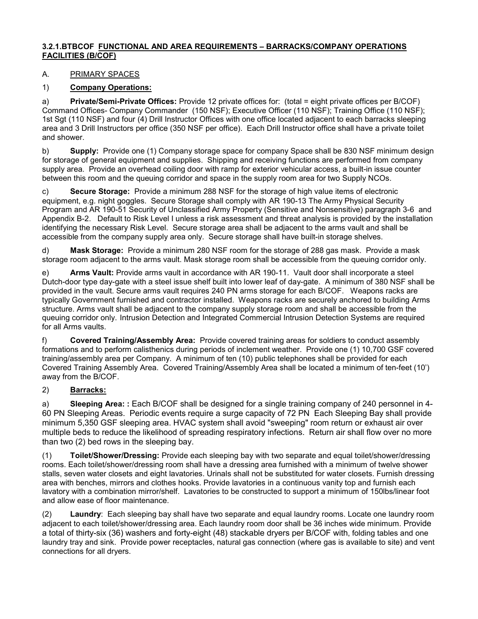#### **3.2.1.BTBCOF FUNCTIONAL AND AREA REQUIREMENTS – BARRACKS/COMPANY OPERATIONS FACILITIES (B/COF)**

# A. PRIMARY SPACES

## 1) **Company Operations:**

a) **Private/Semi-Private Offices:** Provide 12 private offices for: (total = eight private offices per B/COF) Command Offices- Company Commander (150 NSF); Executive Officer (110 NSF); Training Office (110 NSF); 1st Sgt (110 NSF) and four (4) Drill Instructor Offices with one office located adjacent to each barracks sleeping area and 3 Drill Instructors per office (350 NSF per office). Each Drill Instructor office shall have a private toilet and shower.

b) **Supply:** Provide one (1) Company storage space for company Space shall be 830 NSF minimum design for storage of general equipment and supplies. Shipping and receiving functions are performed from company supply area. Provide an overhead coiling door with ramp for exterior vehicular access, a built-in issue counter between this room and the queuing corridor and space in the supply room area for two Supply NCOs.

c) **Secure Storage:** Provide a minimum 288 NSF for the storage of high value items of electronic equipment, e.g. night goggles. Secure Storage shall comply with AR 190-13 The Army Physical Security Program and AR 190-51 Security of Unclassified Army Property (Sensitive and Nonsensitive) paragraph 3-6 and Appendix B-2. Default to Risk Level I unless a risk assessment and threat analysis is provided by the installation identifying the necessary Risk Level. Secure storage area shall be adjacent to the arms vault and shall be accessible from the company supply area only. Secure storage shall have built-in storage shelves.

d) **Mask Storage:** Provide a minimum 280 NSF room for the storage of 288 gas mask. Provide a mask storage room adjacent to the arms vault. Mask storage room shall be accessible from the queuing corridor only.

e) **Arms Vault:** Provide arms vault in accordance with AR 190-11. Vault door shall incorporate a steel Dutch-door type day-gate with a steel issue shelf built into lower leaf of day-gate. A minimum of 380 NSF shall be provided in the vault. Secure arms vault requires 240 PN arms storage for each B/COF. Weapons racks are typically Government furnished and contractor installed. Weapons racks are securely anchored to building Arms structure. Arms vault shall be adjacent to the company supply storage room and shall be accessible from the queuing corridor only. Intrusion Detection and Integrated Commercial Intrusion Detection Systems are required for all Arms vaults.

f) **Covered Training/Assembly Area:** Provide covered training areas for soldiers to conduct assembly formations and to perform calisthenics during periods of inclement weather. Provide one (1) 10,700 GSF covered training/assembly area per Company. A minimum of ten (10) public telephones shall be provided for each Covered Training Assembly Area. Covered Training/Assembly Area shall be located a minimum of ten-feet (10') away from the B/COF.

# 2) **Barracks:**

a) **Sleeping Area: :** Each B/COF shall be designed for a single training company of 240 personnel in 4- 60 PN Sleeping Areas. Periodic events require a surge capacity of 72 PN Each Sleeping Bay shall provide minimum 5,350 GSF sleeping area. HVAC system shall avoid "sweeping" room return or exhaust air over multiple beds to reduce the likelihood of spreading respiratory infections. Return air shall flow over no more than two (2) bed rows in the sleeping bay.

(1) **Toilet/Shower/Dressing:** Provide each sleeping bay with two separate and equal toilet/shower/dressing rooms. Each toilet/shower/dressing room shall have a dressing area furnished with a minimum of twelve shower stalls, seven water closets and eight lavatories. Urinals shall not be substituted for water closets. Furnish dressing area with benches, mirrors and clothes hooks. Provide lavatories in a continuous vanity top and furnish each lavatory with a combination mirror/shelf. Lavatories to be constructed to support a minimum of 150lbs/linear foot and allow ease of floor maintenance.

(2) **Laundry**: Each sleeping bay shall have two separate and equal laundry rooms. Locate one laundry room adjacent to each toilet/shower/dressing area. Each laundry room door shall be 36 inches wide minimum. Provide a total of thirty-six (36) washers and forty-eight (48) stackable dryers per B/COF with, folding tables and one laundry tray and sink. Provide power receptacles, natural gas connection (where gas is available to site) and vent connections for all dryers.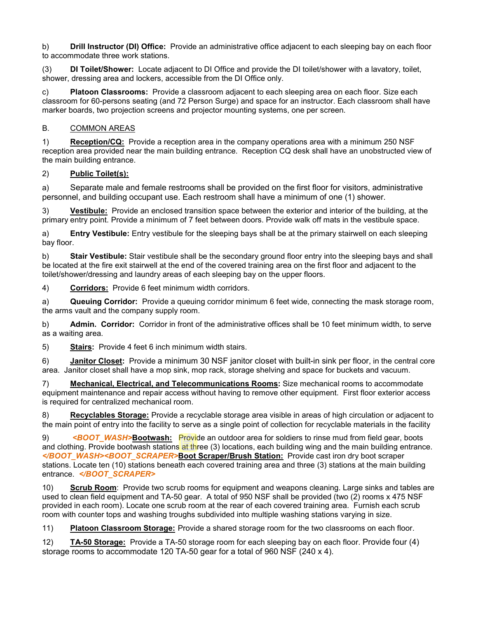b) **Drill Instructor (DI) Office:** Provide an administrative office adjacent to each sleeping bay on each floor to accommodate three work stations.

(3) **DI Toilet/Shower:** Locate adjacent to DI Office and provide the DI toilet/shower with a lavatory, toilet, shower, dressing area and lockers, accessible from the DI Office only.

c) **Platoon Classrooms:** Provide a classroom adjacent to each sleeping area on each floor. Size each classroom for 60-persons seating (and 72 Person Surge) and space for an instructor. Each classroom shall have marker boards, two projection screens and projector mounting systems, one per screen.

## B. COMMON AREAS

1) **Reception/CQ:** Provide a reception area in the company operations area with a minimum 250 NSF reception area provided near the main building entrance. Reception CQ desk shall have an unobstructed view of the main building entrance.

## 2) **Public Toilet(s):**

a) Separate male and female restrooms shall be provided on the first floor for visitors, administrative personnel, and building occupant use. Each restroom shall have a minimum of one (1) shower.

3) **Vestibule:** Provide an enclosed transition space between the exterior and interior of the building, at the primary entry point. Provide a minimum of 7 feet between doors. Provide walk off mats in the vestibule space.

a) **Entry Vestibule:** Entry vestibule for the sleeping bays shall be at the primary stairwell on each sleeping bay floor.

b) **Stair Vestibule:** Stair vestibule shall be the secondary ground floor entry into the sleeping bays and shall be located at the fire exit stairwell at the end of the covered training area on the first floor and adjacent to the toilet/shower/dressing and laundry areas of each sleeping bay on the upper floors.

4) **Corridors:** Provide 6 feet minimum width corridors.

a) **Queuing Corridor:** Provide a queuing corridor minimum 6 feet wide, connecting the mask storage room, the arms vault and the company supply room.

b) **Admin. Corridor:** Corridor in front of the administrative offices shall be 10 feet minimum width, to serve as a waiting area.

5) **Stairs:** Provide 4 feet 6 inch minimum width stairs.

6) **Janitor Closet:** Provide a minimum 30 NSF janitor closet with built-in sink per floor, in the central core area. Janitor closet shall have a mop sink, mop rack, storage shelving and space for buckets and vacuum.

7) **Mechanical, Electrical, and Telecommunications Rooms:** Size mechanical rooms to accommodate equipment maintenance and repair access without having to remove other equipment. First floor exterior access is required for centralized mechanical room.

8) **Recyclables Storage:** Provide a recyclable storage area visible in areas of high circulation or adjacent to the main point of entry into the facility to serve as a single point of collection for recyclable materials in the facility

9) *<BOOT\_WASH>***Bootwash:** Provide an outdoor area for soldiers to rinse mud from field gear, boots and clothing. Provide bootwash stations at three (3) locations, each building wing and the main building entrance. *</BOOT\_WASH><BOOT\_SCRAPER>***Boot Scraper/Brush Station:** Provide cast iron dry boot scraper stations. Locate ten (10) stations beneath each covered training area and three (3) stations at the main building entrance. *</BOOT\_SCRAPER>*

10) **Scrub Room**: Provide two scrub rooms for equipment and weapons cleaning. Large sinks and tables are used to clean field equipment and TA-50 gear. A total of 950 NSF shall be provided (two (2) rooms x 475 NSF provided in each room). Locate one scrub room at the rear of each covered training area. Furnish each scrub room with counter tops and washing troughs subdivided into multiple washing stations varying in size.

11) **Platoon Classroom Storage:** Provide a shared storage room for the two classrooms on each floor.

12) **TA-50 Storage:** Provide a TA-50 storage room for each sleeping bay on each floor. Provide four (4) storage rooms to accommodate 120 TA-50 gear for a total of 960 NSF (240 x 4).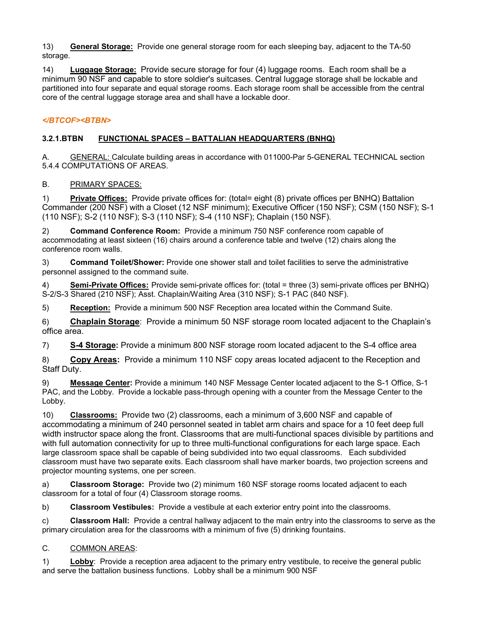13) **General Storage:** Provide one general storage room for each sleeping bay, adjacent to the TA-50 storage.

14) **Luggage Storage:** Provide secure storage for four (4) luggage rooms. Each room shall be a minimum 90 NSF and capable to store soldier's suitcases. Central luggage storage shall be lockable and partitioned into four separate and equal storage rooms. Each storage room shall be accessible from the central core of the central luggage storage area and shall have a lockable door.

# *</BTCOF><BTBN>*

# **3.2.1.BTBN FUNCTIONAL SPACES – BATTALIAN HEADQUARTERS (BNHQ)**

A. GENERAL: Calculate building areas in accordance with 011000-Par 5-GENERAL TECHNICAL section 5.4.4 COMPUTATIONS OF AREAS.

## B. PRIMARY SPACES:

1) **Private Offices:** Provide private offices for: (total= eight (8) private offices per BNHQ) Battalion Commander (200 NSF) with a Closet (12 NSF minimum); Executive Officer (150 NSF); CSM (150 NSF); S-1 (110 NSF); S-2 (110 NSF); S-3 (110 NSF); S-4 (110 NSF); Chaplain (150 NSF).

2) **Command Conference Room:** Provide a minimum 750 NSF conference room capable of accommodating at least sixteen (16) chairs around a conference table and twelve (12) chairs along the conference room walls.

3) **Command Toilet/Shower:** Provide one shower stall and toilet facilities to serve the administrative personnel assigned to the command suite.

4) **Semi-Private Offices:** Provide semi-private offices for: (total = three (3) semi-private offices per BNHQ) S-2/S-3 Shared (210 NSF); Asst. Chaplain/Waiting Area (310 NSF); S-1 PAC (840 NSF).

5) **Reception:** Provide a minimum 500 NSF Reception area located within the Command Suite.

6) **Chaplain Storage**: Provide a minimum 50 NSF storage room located adjacent to the Chaplain's office area.

7) **S-4 Storage:** Provide a minimum 800 NSF storage room located adjacent to the S-4 office area

8) **Copy Areas:** Provide a minimum 110 NSF copy areas located adjacent to the Reception and Staff Duty.

9) **Message Center:** Provide a minimum 140 NSF Message Center located adjacent to the S-1 Office, S-1 PAC, and the Lobby. Provide a lockable pass-through opening with a counter from the Message Center to the Lobby.

10) **Classrooms:** Provide two (2) classrooms, each a minimum of 3,600 NSF and capable of accommodating a minimum of 240 personnel seated in tablet arm chairs and space for a 10 feet deep full width instructor space along the front. Classrooms that are multi-functional spaces divisible by partitions and with full automation connectivity for up to three multi-functional configurations for each large space. Each large classroom space shall be capable of being subdivided into two equal classrooms. Each subdivided classroom must have two separate exits. Each classroom shall have marker boards, two projection screens and projector mounting systems, one per screen.

a) **Classroom Storage:** Provide two (2) minimum 160 NSF storage rooms located adjacent to each classroom for a total of four (4) Classroom storage rooms.

b) **Classroom Vestibules:** Provide a vestibule at each exterior entry point into the classrooms.

c) **Classroom Hall:** Provide a central hallway adjacent to the main entry into the classrooms to serve as the primary circulation area for the classrooms with a minimum of five (5) drinking fountains.

#### C. COMMON AREAS:

1) **Lobby**: Provide a reception area adjacent to the primary entry vestibule, to receive the general public and serve the battalion business functions. Lobby shall be a minimum 900 NSF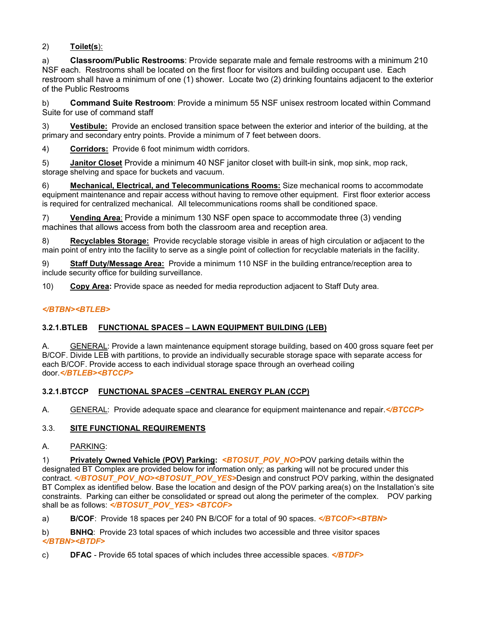# 2) **Toilet(s**):

a) **Classroom/Public Restrooms**: Provide separate male and female restrooms with a minimum 210 NSF each. Restrooms shall be located on the first floor for visitors and building occupant use. Each restroom shall have a minimum of one (1) shower. Locate two (2) drinking fountains adjacent to the exterior of the Public Restrooms

b) **Command Suite Restroom**: Provide a minimum 55 NSF unisex restroom located within Command Suite for use of command staff

3) **Vestibule:** Provide an enclosed transition space between the exterior and interior of the building, at the primary and secondary entry points. Provide a minimum of 7 feet between doors.

4) **Corridors:** Provide 6 foot minimum width corridors.

5) **Janitor Closet** Provide a minimum 40 NSF janitor closet with built-in sink, mop sink, mop rack, storage shelving and space for buckets and vacuum.

6) **Mechanical, Electrical, and Telecommunications Rooms:** Size mechanical rooms to accommodate equipment maintenance and repair access without having to remove other equipment. First floor exterior access is required for centralized mechanical. All telecommunications rooms shall be conditioned space.

7) **Vending Area**: Provide a minimum 130 NSF open space to accommodate three (3) vending machines that allows access from both the classroom area and reception area.

8) **Recyclables Storage:** Provide recyclable storage visible in areas of high circulation or adjacent to the main point of entry into the facility to serve as a single point of collection for recyclable materials in the facility.

9) **Staff Duty/Message Area:** Provide a minimum 110 NSF in the building entrance/reception area to include security office for building surveillance.

10) **Copy Area:** Provide space as needed for media reproduction adjacent to Staff Duty area.

## *</BTBN><BTLEB>*

#### **3.2.1.BTLEB FUNCTIONAL SPACES – LAWN EQUIPMENT BUILDING (LEB)**

A. GENERAL: Provide a lawn maintenance equipment storage building, based on 400 gross square feet per B/COF. Divide LEB with partitions, to provide an individually securable storage space with separate access for each B/COF. Provide access to each individual storage space through an overhead coiling door.*</BTLEB><BTCCP>*

# **3.2.1.BTCCP FUNCTIONAL SPACES –CENTRAL ENERGY PLAN (CCP)**

A. GENERAL: Provide adequate space and clearance for equipment maintenance and repair.*</BTCCP>*

#### 3.3. **SITE FUNCTIONAL REQUIREMENTS**

#### A. PARKING:

1) **Privately Owned Vehicle (POV) Parking:** *<BTOSUT\_POV\_NO>*POV parking details within the designated BT Complex are provided below for information only; as parking will not be procured under this contract. </**BTOSUT\_POV\_NO><BTOSUT\_POV\_YES>Design and construct POV parking, within the designated** BT Complex as identified below. Base the location and design of the POV parking area(s) on the Installation's site constraints. Parking can either be consolidated or spread out along the perimeter of the complex. POV parking shall be as follows: *</BTOSUT\_POV\_YES> <BTCOF>*

a) **B/COF**: Provide 18 spaces per 240 PN B/COF for a total of 90 spaces. *</BTCOF><BTBN>*

b) **BNHQ**: Provide 23 total spaces of which includes two accessible and three visitor spaces *</BTBN><BTDF>*

c) **DFAC** - Provide 65 total spaces of which includes three accessible spaces. *</BTDF>*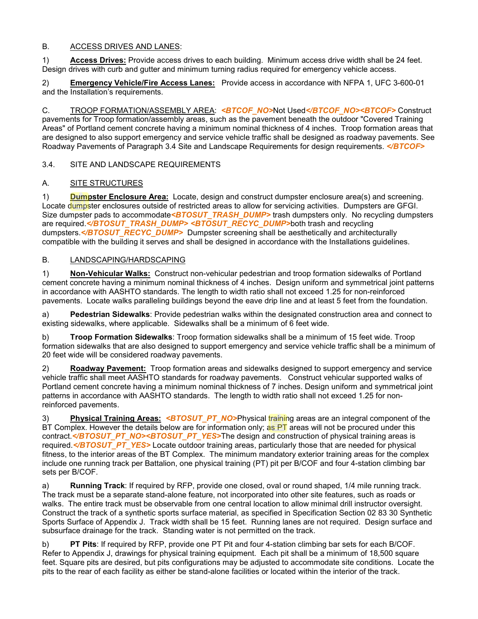## B. ACCESS DRIVES AND LANES:

1) **Access Drives:** Provide access drives to each building. Minimum access drive width shall be 24 feet. Design drives with curb and gutter and minimum turning radius required for emergency vehicle access.

2) **Emergency Vehicle/Fire Access Lanes:** Provide access in accordance with NFPA 1, UFC 3-600-01 and the Installation's requirements.

C. TROOP FORMATION/ASSEMBLY AREA: *<BTCOF\_NO>*Not Used*</BTCOF\_NO><BTCOF>* Construct pavements for Troop formation/assembly areas, such as the pavement beneath the outdoor "Covered Training Areas" of Portland cement concrete having a minimum nominal thickness of 4 inches. Troop formation areas that are designed to also support emergency and service vehicle traffic shall be designed as roadway pavements. See Roadway Pavements of Paragraph 3.4 Site and Landscape Requirements for design requirements. *</BTCOF>*

3.4. SITE AND LANDSCAPE REQUIREMENTS

## A. SITE STRUCTURES

1) **Dumpster Enclosure Area:** Locate, design and construct dumpster enclosure area(s) and screening. Locate dumpster enclosures outside of restricted areas to allow for servicing activities. Dumpsters are GFGI. Size dumpster pads to accommodate<**BTOSUT\_TRASH\_DUMP>** trash dumpsters only. No recycling dumpsters are required.</BTOSUT\_TRASH\_DUMP> <BTOSUT\_RECYC\_DUMP>both trash and recycling dumpsters.<*/BTOSUT\_RECYC\_DUMP>* Dumpster screening shall be aesthetically and architecturally compatible with the building it serves and shall be designed in accordance with the Installations guidelines.

#### B. LANDSCAPING/HARDSCAPING

1) **Non-Vehicular Walks:** Construct non-vehicular pedestrian and troop formation sidewalks of Portland cement concrete having a minimum nominal thickness of 4 inches. Design uniform and symmetrical joint patterns in accordance with AASHTO standards. The length to width ratio shall not exceed 1.25 for non-reinforced pavements.Locate walks paralleling buildings beyond the eave drip line and at least 5 feet from the foundation.

a) **Pedestrian Sidewalks**: Provide pedestrian walks within the designated construction area and connect to existing sidewalks, where applicable. Sidewalks shall be a minimum of 6 feet wide.

b) **Troop Formation Sidewalks**: Troop formation sidewalks shall be a minimum of 15 feet wide. Troop formation sidewalks that are also designed to support emergency and service vehicle traffic shall be a minimum of 20 feet wide will be considered roadway pavements.

2) **Roadway Pavement:** Troop formation areas and sidewalks designed to support emergency and service vehicle traffic shall meet AASHTO standards for roadway pavements. Construct vehicular supported walks of Portland cement concrete having a minimum nominal thickness of 7 inches. Design uniform and symmetrical joint patterns in accordance with AASHTO standards. The length to width ratio shall not exceed 1.25 for nonreinforced pavements.

3) **Physical Training Areas:** *<BTOSUT\_PT\_NO>*Physical training areas are an integral component of the BT Complex. However the details below are for information only; as PT areas will not be procured under this contract.*</BTOSUT\_PT\_NO><BTOSUT\_PT\_YES>*The design and construction of physical training areas is required. <*/BTOSUT\_PT\_YES>* Locate outdoor training areas, particularly those that are needed for physical fitness, to the interior areas of the BT Complex. The minimum mandatory exterior training areas for the complex include one running track per Battalion, one physical training (PT) pit per B/COF and four 4-station climbing bar sets per B/COF.

a) **Running Track**: If required by RFP, provide one closed, oval or round shaped, 1/4 mile running track. The track must be a separate stand-alone feature, not incorporated into other site features, such as roads or walks. The entire track must be observable from one central location to allow minimal drill instructor oversight. Construct the track of a synthetic sports surface material, as specified in Specification Section 02 83 30 Synthetic Sports Surface of Appendix J. Track width shall be 15 feet. Running lanes are not required. Design surface and subsurface drainage for the track. Standing water is not permitted on the track.

b) **PT Pits**: If required by RFP, provide one PT Pit and four 4-station climbing bar sets for each B/COF. Refer to Appendix J, drawings for physical training equipment. Each pit shall be a minimum of 18,500 square feet. Square pits are desired, but pits configurations may be adjusted to accommodate site conditions. Locate the pits to the rear of each facility as either be stand-alone facilities or located within the interior of the track.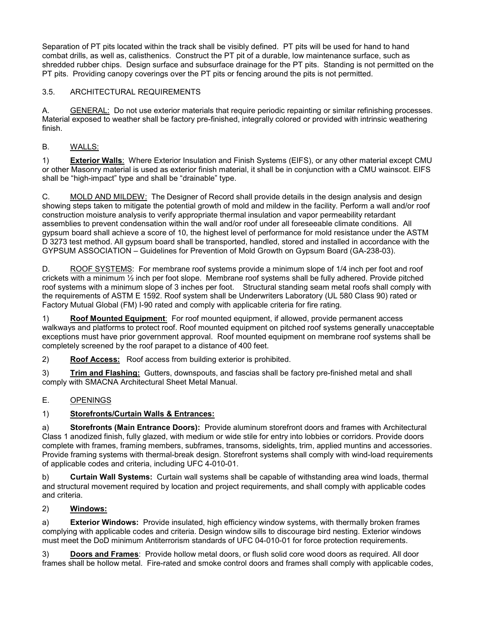Separation of PT pits located within the track shall be visibly defined. PT pits will be used for hand to hand combat drills, as well as, calisthenics. Construct the PT pit of a durable, low maintenance surface, such as shredded rubber chips. Design surface and subsurface drainage for the PT pits. Standing is not permitted on the PT pits. Providing canopy coverings over the PT pits or fencing around the pits is not permitted.

# 3.5. ARCHITECTURAL REQUIREMENTS

A. GENERAL: Do not use exterior materials that require periodic repainting or similar refinishing processes. Material exposed to weather shall be factory pre-finished, integrally colored or provided with intrinsic weathering finish.

# B. WALLS:

1) **Exterior Walls**: Where Exterior Insulation and Finish Systems (EIFS), or any other material except CMU or other Masonry material is used as exterior finish material, it shall be in conjunction with a CMU wainscot. EIFS shall be "high-impact" type and shall be "drainable" type.

C. MOLD AND MILDEW: The Designer of Record shall provide details in the design analysis and design showing steps taken to mitigate the potential growth of mold and mildew in the facility. Perform a wall and/or roof construction moisture analysis to verify appropriate thermal insulation and vapor permeability retardant assemblies to prevent condensation within the wall and/or roof under all foreseeable climate conditions. All gypsum board shall achieve a score of 10, the highest level of performance for mold resistance under the ASTM D 3273 test method. All gypsum board shall be transported, handled, stored and installed in accordance with the GYPSUM ASSOCIATION – Guidelines for Prevention of Mold Growth on Gypsum Board (GA-238-03).

D. ROOF SYSTEMS: For membrane roof systems provide a minimum slope of 1/4 inch per foot and roof crickets with a minimum ½ inch per foot slope. Membrane roof systems shall be fully adhered. Provide pitched roof systems with a minimum slope of 3 inches per foot. Structural standing seam metal roofs shall comply with the requirements of ASTM E 1592. Roof system shall be Underwriters Laboratory (UL 580 Class 90) rated or Factory Mutual Global (FM) I-90 rated and comply with applicable criteria for fire rating.

1) **Roof Mounted Equipment**: For roof mounted equipment, if allowed, provide permanent access walkways and platforms to protect roof. Roof mounted equipment on pitched roof systems generally unacceptable exceptions must have prior government approval. Roof mounted equipment on membrane roof systems shall be completely screened by the roof parapet to a distance of 400 feet.

2) **Roof Access:** Roof access from building exterior is prohibited.

3) **Trim and Flashing:** Gutters, downspouts, and fascias shall be factory pre-finished metal and shall comply with SMACNA Architectural Sheet Metal Manual.

# E. OPENINGS

# 1) **Storefronts/Curtain Walls & Entrances:**

a) **Storefronts (Main Entrance Doors):** Provide aluminum storefront doors and frames with Architectural Class 1 anodized finish, fully glazed, with medium or wide stile for entry into lobbies or corridors. Provide doors complete with frames, framing members, subframes, transoms, sidelights, trim, applied muntins and accessories. Provide framing systems with thermal-break design. Storefront systems shall comply with wind-load requirements of applicable codes and criteria, including UFC 4-010-01.

b) **Curtain Wall Systems:** Curtain wall systems shall be capable of withstanding area wind loads, thermal and structural movement required by location and project requirements, and shall comply with applicable codes and criteria.

# 2) **Windows:**

a) **Exterior Windows:** Provide insulated, high efficiency window systems, with thermally broken frames complying with applicable codes and criteria. Design window sills to discourage bird nesting. Exterior windows must meet the DoD minimum Antiterrorism standards of UFC 04-010-01 for force protection requirements.

3) **Doors and Frames**: Provide hollow metal doors, or flush solid core wood doors as required. All door frames shall be hollow metal. Fire-rated and smoke control doors and frames shall comply with applicable codes,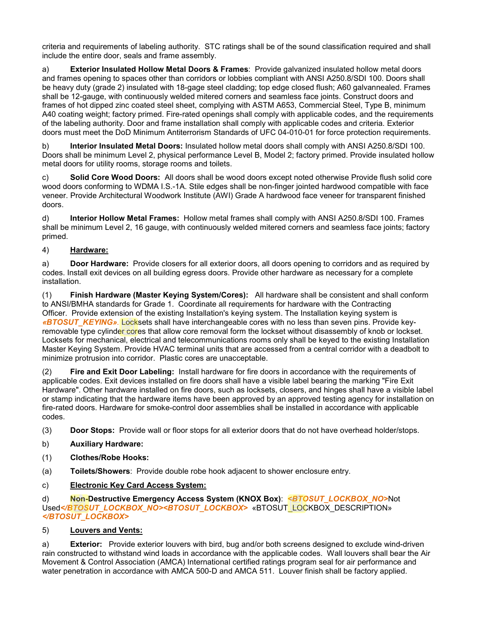criteria and requirements of labeling authority. STC ratings shall be of the sound classification required and shall include the entire door, seals and frame assembly.

a) **Exterior Insulated Hollow Metal Doors & Frames**: Provide galvanized insulated hollow metal doors and frames opening to spaces other than corridors or lobbies compliant with ANSI A250.8/SDI 100. Doors shall be heavy duty (grade 2) insulated with 18-gage steel cladding; top edge closed flush; A60 galvannealed. Frames shall be 12-gauge, with continuously welded mitered corners and seamless face joints. Construct doors and frames of hot dipped zinc coated steel sheet, complying with ASTM A653, Commercial Steel, Type B, minimum A40 coating weight; factory primed. Fire-rated openings shall comply with applicable codes, and the requirements of the labeling authority. Door and frame installation shall comply with applicable codes and criteria. Exterior doors must meet the DoD Minimum Antiterrorism Standards of UFC 04-010-01 for force protection requirements.

b) **Interior Insulated Metal Doors:** Insulated hollow metal doors shall comply with ANSI A250.8/SDI 100. Doors shall be minimum Level 2, physical performance Level B, Model 2; factory primed. Provide insulated hollow metal doors for utility rooms, storage rooms and toilets.

c) **Solid Core Wood Doors:** All doors shall be wood doors except noted otherwise Provide flush solid core wood doors conforming to WDMA I.S.-1A. Stile edges shall be non-finger jointed hardwood compatible with face veneer. Provide Architectural Woodwork Institute (AWI) Grade A hardwood face veneer for transparent finished doors.

d) **Interior Hollow Metal Frames:** Hollow metal frames shall comply with ANSI A250.8/SDI 100. Frames shall be minimum Level 2, 16 gauge, with continuously welded mitered corners and seamless face joints; factory primed.

## 4) **Hardware:**

a) **Door Hardware:** Provide closers for all exterior doors, all doors opening to corridors and as required by codes. Install exit devices on all building egress doors. Provide other hardware as necessary for a complete installation.

(1) **Finish Hardware (Master Keying System/Cores):** All hardware shall be consistent and shall conform to ANSI/BMHA standards for Grade 1. Coordinate all requirements for hardware with the Contracting Officer. Provide extension of the existing Installation's keying system. The Installation keying system is *«BTOSUT\_KEYING».* Locksets shall have interchangeable cores with no less than seven pins. Provide keyremovable type cylinder cores that allow core removal form the lockset without disassembly of knob or lockset. Locksets for mechanical, electrical and telecommunications rooms only shall be keyed to the existing Installation Master Keying System. Provide HVAC terminal units that are accessed from a central corridor with a deadbolt to minimize protrusion into corridor. Plastic cores are unacceptable.

(2) **Fire and Exit Door Labeling:** Install hardware for fire doors in accordance with the requirements of applicable codes. Exit devices installed on fire doors shall have a visible label bearing the marking "Fire Exit Hardware". Other hardware installed on fire doors, such as locksets, closers, and hinges shall have a visible label or stamp indicating that the hardware items have been approved by an approved testing agency for installation on fire-rated doors. Hardware for smoke-control door assemblies shall be installed in accordance with applicable codes.

(3) **Door Stops:** Provide wall or floor stops for all exterior doors that do not have overhead holder/stops.

- b) **Auxiliary Hardware:**
- (1) **Clothes/Robe Hooks:**
- (a) **Toilets/Showers**: Provide double robe hook adjacent to shower enclosure entry.
- c) **Electronic Key Card Access System:**

d) **Non-Destructive Emergency Access System (KNOX Box)**: *<BTOSUT\_LOCKBOX\_NO>*Not Used*</BTOSUT\_LOCKBOX\_NO><BTOSUT\_LOCKBOX>* «BTOSUT\_LOCKBOX\_DESCRIPTION» *</BTOSUT\_LOCKBOX>*

#### 5) **Louvers and Vents:**

a) **Exterior:** Provide exterior louvers with bird, bug and/or both screens designed to exclude wind-driven rain constructed to withstand wind loads in accordance with the applicable codes. Wall louvers shall bear the Air Movement & Control Association (AMCA) International certified ratings program seal for air performance and water penetration in accordance with AMCA 500-D and AMCA 511. Louver finish shall be factory applied.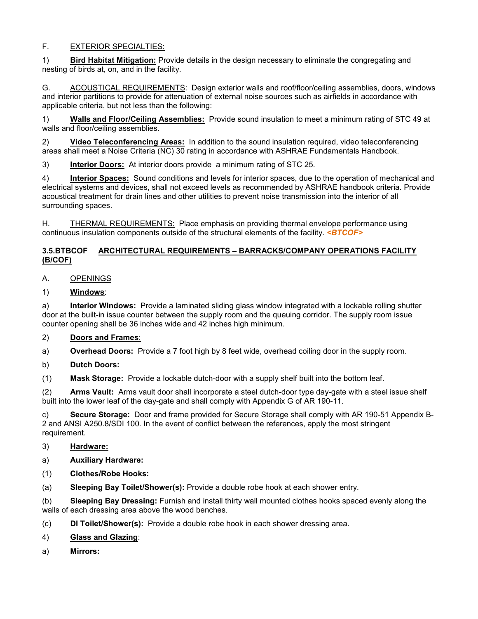## F. EXTERIOR SPECIALTIES:

1) **Bird Habitat Mitigation:** Provide details in the design necessary to eliminate the congregating and nesting of birds at, on, and in the facility.

G. ACOUSTICAL REQUIREMENTS: Design exterior walls and roof/floor/ceiling assemblies, doors, windows and interior partitions to provide for attenuation of external noise sources such as airfields in accordance with applicable criteria, but not less than the following:

1) **Walls and Floor/Ceiling Assemblies:** Provide sound insulation to meet a minimum rating of STC 49 at walls and floor/ceiling assemblies.

2) **Video Teleconferencing Areas:** In addition to the sound insulation required, video teleconferencing areas shall meet a Noise Criteria (NC) 30 rating in accordance with ASHRAE Fundamentals Handbook.

3) **Interior Doors:** At interior doors provide a minimum rating of STC 25.

4) **Interior Spaces:** Sound conditions and levels for interior spaces, due to the operation of mechanical and electrical systems and devices, shall not exceed levels as recommended by ASHRAE handbook criteria. Provide acoustical treatment for drain lines and other utilities to prevent noise transmission into the interior of all surrounding spaces.

H. THERMAL REQUIREMENTS: Place emphasis on providing thermal envelope performance using continuous insulation components outside of the structural elements of the facility. *<BTCOF>*

#### **3.5.BTBCOF ARCHITECTURAL REQUIREMENTS – BARRACKS/COMPANY OPERATIONS FACILITY (B/COF)**

## A. OPENINGS

1) **Windows**:

a) **Interior Windows:** Provide a laminated sliding glass window integrated with a lockable rolling shutter door at the built-in issue counter between the supply room and the queuing corridor. The supply room issue counter opening shall be 36 inches wide and 42 inches high minimum.

# 2) **Doors and Frames**:

a) **Overhead Doors:** Provide a 7 foot high by 8 feet wide, overhead coiling door in the supply room.

b) **Dutch Doors:**

(1) **Mask Storage:** Provide a lockable dutch-door with a supply shelf built into the bottom leaf.

(2) **Arms Vault:** Arms vault door shall incorporate a steel dutch-door type day-gate with a steel issue shelf built into the lower leaf of the day-gate and shall comply with Appendix G of AR 190-11.

c) **Secure Storage:** Door and frame provided for Secure Storage shall comply with AR 190-51 Appendix B-2 and ANSI A250.8/SDI 100. In the event of conflict between the references, apply the most stringent requirement.

- 3) **Hardware:**
- a) **Auxiliary Hardware:**
- (1) **Clothes/Robe Hooks:**

(a) **Sleeping Bay Toilet/Shower(s):** Provide a double robe hook at each shower entry.

(b) **Sleeping Bay Dressing:** Furnish and install thirty wall mounted clothes hooks spaced evenly along the walls of each dressing area above the wood benches.

- (c) **DI Toilet/Shower(s):** Provide a double robe hook in each shower dressing area.
- 4) **Glass and Glazing**:
- a) **Mirrors:**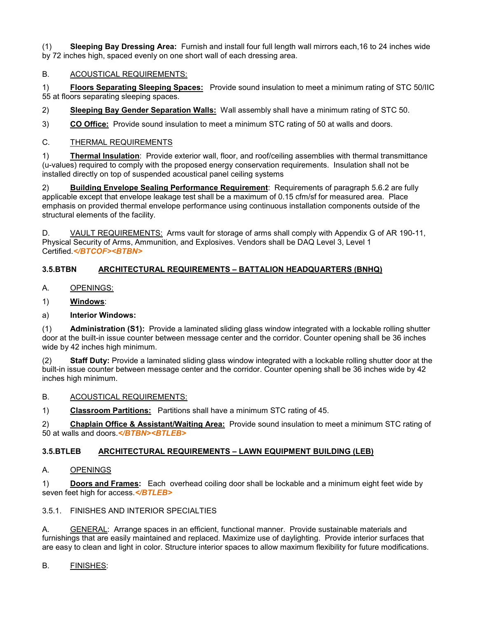(1) **Sleeping Bay Dressing Area:** Furnish and install four full length wall mirrors each,16 to 24 inches wide by 72 inches high, spaced evenly on one short wall of each dressing area.

# B. ACOUSTICAL REQUIREMENTS:

1) **Floors Separating Sleeping Spaces:** Provide sound insulation to meet a minimum rating of STC 50/IIC 55 at floors separating sleeping spaces.

2) **Sleeping Bay Gender Separation Walls:** Wall assembly shall have a minimum rating of STC 50.

3) **CO Office:** Provide sound insulation to meet a minimum STC rating of 50 at walls and doors.

## C. THERMAL REQUIREMENTS

1) **Thermal Insulation**: Provide exterior wall, floor, and roof/ceiling assemblies with thermal transmittance (u-values) required to comply with the proposed energy conservation requirements. Insulation shall not be installed directly on top of suspended acoustical panel ceiling systems

2) **Building Envelope Sealing Performance Requirement**: Requirements of paragraph 5.6.2 are fully applicable except that envelope leakage test shall be a maximum of 0.15 cfm/sf for measured area. Place emphasis on provided thermal envelope performance using continuous installation components outside of the structural elements of the facility.

D. VAULT REQUIREMENTS: Arms vault for storage of arms shall comply with Appendix G of AR 190-11, Physical Security of Arms, Ammunition, and Explosives. Vendors shall be DAQ Level 3, Level 1 Certified.*</BTCOF><BTBN>*

# **3.5.BTBN ARCHITECTURAL REQUIREMENTS – BATTALION HEADQUARTERS (BNHQ)**

- A. OPENINGS:
- 1) **Windows**:
- a) **Interior Windows:**

(1) **Administration (S1):** Provide a laminated sliding glass window integrated with a lockable rolling shutter door at the built-in issue counter between message center and the corridor. Counter opening shall be 36 inches wide by 42 inches high minimum.

**Staff Duty:** Provide a laminated sliding glass window integrated with a lockable rolling shutter door at the built-in issue counter between message center and the corridor. Counter opening shall be 36 inches wide by 42 inches high minimum.

B. ACOUSTICAL REQUIREMENTS:

1) **Classroom Partitions:** Partitions shall have a minimum STC rating of 45.

2) **Chaplain Office & Assistant/Waiting Area:**Provide sound insulation to meet a minimum STC rating of 50 at walls and doors.*</BTBN><BTLEB>*

# **3.5.BTLEB ARCHITECTURAL REQUIREMENTS – LAWN EQUIPMENT BUILDING (LEB)**

#### A. OPENINGS

1) **Doors and Frames:** Each overhead coiling door shall be lockable and a minimum eight feet wide by seven feet high for access.*</BTLEB>*

3.5.1. FINISHES AND INTERIOR SPECIALTIES

A. GENERAL: Arrange spaces in an efficient, functional manner. Provide sustainable materials and furnishings that are easily maintained and replaced. Maximize use of daylighting. Provide interior surfaces that are easy to clean and light in color. Structure interior spaces to allow maximum flexibility for future modifications.

#### B. FINISHES: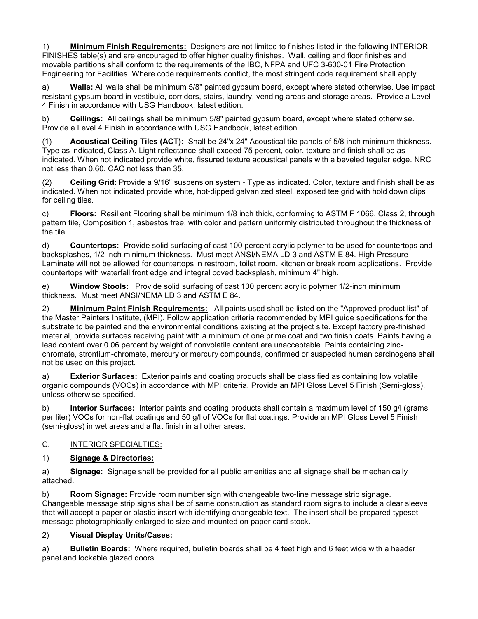1) **Minimum Finish Requirements:** Designers are not limited to finishes listed in the following INTERIOR FINISHES table(s) and are encouraged to offer higher quality finishes. Wall, ceiling and floor finishes and movable partitions shall conform to the requirements of the IBC, NFPA and UFC 3-600-01 Fire Protection Engineering for Facilities. Where code requirements conflict, the most stringent code requirement shall apply.

a) **Walls:** All walls shall be minimum 5/8" painted gypsum board, except where stated otherwise. Use impact resistant gypsum board in vestibule, corridors, stairs, laundry, vending areas and storage areas. Provide a Level 4 Finish in accordance with USG Handbook, latest edition.

b) **Ceilings:** All ceilings shall be minimum 5/8" painted gypsum board, except where stated otherwise. Provide a Level 4 Finish in accordance with USG Handbook, latest edition.

(1) **Acoustical Ceiling Tiles (ACT):** Shall be 24"x 24" Acoustical tile panels of 5/8 inch minimum thickness. Type as indicated, Class A. Light reflectance shall exceed 75 percent, color, texture and finish shall be as indicated. When not indicated provide white, fissured texture acoustical panels with a beveled tegular edge. NRC not less than 0.60, CAC not less than 35.

(2) **Ceiling Grid**: Provide a 9/16" suspension system - Type as indicated. Color, texture and finish shall be as indicated. When not indicated provide white, hot-dipped galvanized steel, exposed tee grid with hold down clips for ceiling tiles.

c) **Floors:** Resilient Flooring shall be minimum 1/8 inch thick, conforming to ASTM F 1066, Class 2, through pattern tile, Composition 1, asbestos free, with color and pattern uniformly distributed throughout the thickness of the tile.

d) **Countertops:** Provide solid surfacing of cast 100 percent acrylic polymer to be used for countertops and backsplashes, 1/2-inch minimum thickness. Must meet ANSI/NEMA LD 3 and ASTM E 84. High-Pressure Laminate will not be allowed for countertops in restroom, toilet room, kitchen or break room applications. Provide countertops with waterfall front edge and integral coved backsplash, minimum 4" high.

e) **Window Stools:** Provide solid surfacing of cast 100 percent acrylic polymer 1/2-inch minimum thickness. Must meet ANSI/NEMA LD 3 and ASTM E 84.

2) **Minimum Paint Finish Requirements:** All paints used shall be listed on the "Approved product list" of the Master Painters Institute, (MPI). Follow application criteria recommended by MPI guide specifications for the substrate to be painted and the environmental conditions existing at the project site. Except factory pre-finished material, provide surfaces receiving paint with a minimum of one prime coat and two finish coats. Paints having a lead content over 0.06 percent by weight of nonvolatile content are unacceptable. Paints containing zincchromate, strontium-chromate, mercury or mercury compounds, confirmed or suspected human carcinogens shall not be used on this project.

a) **Exterior Surfaces:** Exterior paints and coating products shall be classified as containing low volatile organic compounds (VOCs) in accordance with MPI criteria. Provide an MPI Gloss Level 5 Finish (Semi-gloss), unless otherwise specified.

b) **Interior Surfaces:** Interior paints and coating products shall contain a maximum level of 150 g/l (grams per liter) VOCs for non-flat coatings and 50 g/l of VOCs for flat coatings. Provide an MPI Gloss Level 5 Finish (semi-gloss) in wet areas and a flat finish in all other areas.

# C. INTERIOR SPECIALTIES:

# 1) **Signage & Directories:**

a) **Signage:** Signage shall be provided for all public amenities and all signage shall be mechanically attached.

b) **Room Signage:** Provide room number sign with changeable two-line message strip signage. Changeable message strip signs shall be of same construction as standard room signs to include a clear sleeve that will accept a paper or plastic insert with identifying changeable text. The insert shall be prepared typeset message photographically enlarged to size and mounted on paper card stock.

# 2) **Visual Display Units/Cases:**

a) **Bulletin Boards:** Where required, bulletin boards shall be 4 feet high and 6 feet wide with a header panel and lockable glazed doors.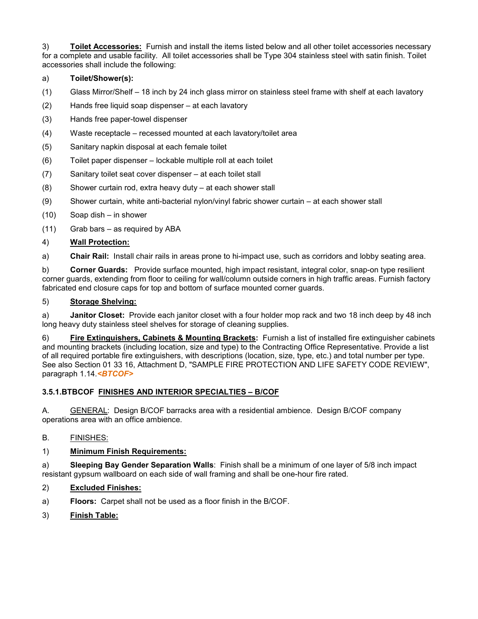3) **Toilet Accessories:** Furnish and install the items listed below and all other toilet accessories necessary for a complete and usable facility. All toilet accessories shall be Type 304 stainless steel with satin finish. Toilet accessories shall include the following:

# a) **Toilet/Shower(s):**

- (1) Glass Mirror/Shelf 18 inch by 24 inch glass mirror on stainless steel frame with shelf at each lavatory
- (2) Hands free liquid soap dispenser at each lavatory
- (3) Hands free paper-towel dispenser
- (4) Waste receptacle recessed mounted at each lavatory/toilet area
- (5) Sanitary napkin disposal at each female toilet
- (6) Toilet paper dispenser lockable multiple roll at each toilet
- (7) Sanitary toilet seat cover dispenser at each toilet stall
- (8) Shower curtain rod, extra heavy duty at each shower stall
- (9) Shower curtain, white anti-bacterial nylon/vinyl fabric shower curtain at each shower stall
- (10) Soap dish in shower
- (11) Grab bars as required by ABA

## 4) **Wall Protection:**

a) **Chair Rail:** Install chair rails in areas prone to hi-impact use, such as corridors and lobby seating area.

b) **Corner Guards:** Provide surface mounted, high impact resistant, integral color, snap-on type resilient corner guards, extending from floor to ceiling for wall/column outside corners in high traffic areas. Furnish factory fabricated end closure caps for top and bottom of surface mounted corner guards.

#### 5) **Storage Shelving:**

a) **Janitor Closet:** Provide each janitor closet with a four holder mop rack and two 18 inch deep by 48 inch long heavy duty stainless steel shelves for storage of cleaning supplies.

6) **Fire Extinguishers, Cabinets & Mounting Brackets:** Furnish a list of installed fire extinguisher cabinets and mounting brackets (including location, size and type) to the Contracting Office Representative. Provide a list of all required portable fire extinguishers, with descriptions (location, size, type, etc.) and total number per type. See also Section 01 33 16, Attachment D, "SAMPLE FIRE PROTECTION AND LIFE SAFETY CODE REVIEW", paragraph 1.14.*<BTCOF>*

#### **3.5.1.BTBCOF FINISHES AND INTERIOR SPECIALTIES – B/COF**

A. **GENERAL:** Design B/COF barracks area with a residential ambience. Design B/COF company operations area with an office ambience.

#### B. FINISHES:

#### 1) **Minimum Finish Requirements:**

a) **Sleeping Bay Gender Separation Walls**: Finish shall be a minimum of one layer of 5/8 inch impact resistant gypsum wallboard on each side of wall framing and shall be one-hour fire rated.

# 2) **Excluded Finishes:**

- a) **Floors:** Carpet shall not be used as a floor finish in the B/COF.
- 3) **Finish Table:**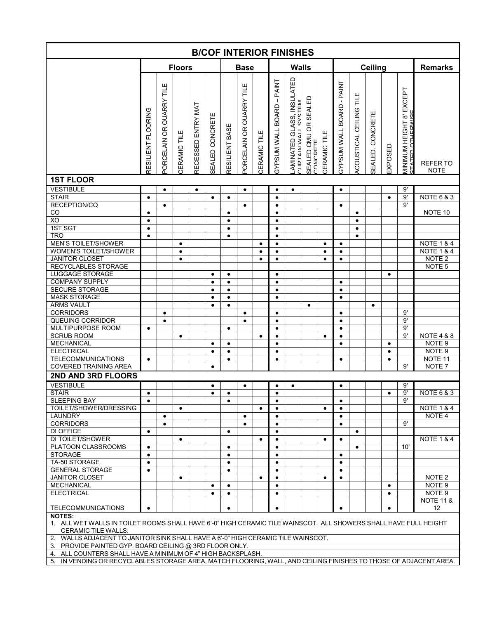|                                                                                                                                                                                                                                              |                        |                               |               |                      |                 |                        |                          |              |                                                | <b>B/COF INTERIOR FINISHES</b>                     |                                  |                     |                                                                      |                             |                         |           |                                                                                |                         |
|----------------------------------------------------------------------------------------------------------------------------------------------------------------------------------------------------------------------------------------------|------------------------|-------------------------------|---------------|----------------------|-----------------|------------------------|--------------------------|--------------|------------------------------------------------|----------------------------------------------------|----------------------------------|---------------------|----------------------------------------------------------------------|-----------------------------|-------------------------|-----------|--------------------------------------------------------------------------------|-------------------------|
|                                                                                                                                                                                                                                              |                        |                               | <b>Floors</b> |                      |                 |                        | <b>Base</b>              |              |                                                | <b>Walls</b>                                       |                                  |                     |                                                                      |                             | <b>Ceiling</b>          |           |                                                                                | <b>Remarks</b>          |
|                                                                                                                                                                                                                                              | ESILIENT FLOORING      | TILE<br>QUARRY<br>ORCELAIN OR | ERAMIC TILE   | ENTRY MAT<br>ECESSED | SEALED CONCRETE | ESILIENT BASE          | PORCELAIN OR QUARRY TILE | CERAMIC TILE | $-$ PAINT<br><b>BOARD</b><br><b>JAW MOSCAS</b> | _AMINATED GLASS, INSULATED<br>"LIRTAIN.WALL SYSTEM | SEALED CMU OR SEALED<br>CONCRETE | <b>CERAMIC TILE</b> | <b>PAINT</b><br>$\blacksquare$<br><b>BOARD</b><br><b>TIMM MNSdAS</b> | ш<br>ACOUSTICAL CEILING TIL | ш<br>CONCRET<br>SEALED. | EXPOSED   | EXCEPT<br>$\mathbf{\hat{o}}$<br>ED OTHERWIS<br>ΜΙΝΙΜUΜ ΗΕΙGHT<br>STATED ΩΤΗΕRW | REFER TO<br><b>NOTE</b> |
| <b>1ST FLOOR</b>                                                                                                                                                                                                                             |                        |                               |               |                      |                 |                        |                          |              |                                                |                                                    |                                  |                     |                                                                      |                             |                         |           |                                                                                |                         |
| <b>VESTIBULE</b>                                                                                                                                                                                                                             |                        | $\bullet$                     |               | $\bullet$            |                 |                        | $\bullet$                |              | $\bullet$                                      | $\bullet$                                          |                                  |                     | $\bullet$                                                            |                             |                         |           | 9'                                                                             |                         |
| <b>STAIR</b><br><b>RECEPTION/CQ</b>                                                                                                                                                                                                          | $\bullet$              |                               |               |                      | $\bullet$       | $\bullet$              |                          |              | $\bullet$                                      |                                                    |                                  |                     |                                                                      |                             |                         | $\bullet$ | 9'<br>9'                                                                       | <b>NOTE 6 &amp; 3</b>   |
| CO                                                                                                                                                                                                                                           | $\bullet$              | $\bullet$                     |               |                      |                 | $\bullet$              | $\bullet$                |              | $\bullet$<br>$\bullet$                         |                                                    |                                  |                     | $\bullet$                                                            | $\bullet$                   |                         |           |                                                                                | NOTE 10                 |
| XO                                                                                                                                                                                                                                           | $\bullet$              |                               |               |                      |                 | $\bullet$              |                          |              | $\bullet$                                      |                                                    |                                  |                     |                                                                      | $\bullet$                   |                         |           |                                                                                |                         |
| 1ST SGT                                                                                                                                                                                                                                      | $\bullet$              |                               |               |                      |                 | $\bullet$              |                          |              | $\bullet$                                      |                                                    |                                  |                     |                                                                      | $\bullet$                   |                         |           |                                                                                |                         |
| <b>TRO</b>                                                                                                                                                                                                                                   | $\bullet$              |                               |               |                      |                 | $\bullet$              |                          |              | $\bullet$                                      |                                                    |                                  |                     |                                                                      | $\bullet$                   |                         |           |                                                                                |                         |
| <b>MEN'S TOILET/SHOWER</b>                                                                                                                                                                                                                   |                        |                               | $\bullet$     |                      |                 |                        |                          | $\bullet$    | $\bullet$                                      |                                                    |                                  | $\bullet$           | $\bullet$                                                            |                             |                         |           |                                                                                | <b>NOTE 1 &amp; 4</b>   |
| WOMEN'S TOILET/SHOWER                                                                                                                                                                                                                        |                        |                               | ٠             |                      |                 |                        |                          | $\bullet$    | ٠                                              |                                                    |                                  | $\bullet$           | $\bullet$                                                            |                             |                         |           |                                                                                | <b>NOTE 1 &amp; 4</b>   |
| <b>JANITOR CLOSET</b>                                                                                                                                                                                                                        |                        |                               | $\bullet$     |                      |                 |                        |                          | $\bullet$    | $\bullet$                                      |                                                    |                                  | $\bullet$           | $\bullet$                                                            |                             |                         |           |                                                                                | NOTE <sub>2</sub>       |
| RECYCLABLES STORAGE                                                                                                                                                                                                                          |                        |                               |               |                      |                 |                        |                          |              |                                                |                                                    |                                  |                     |                                                                      |                             |                         |           |                                                                                | NOTE <sub>5</sub>       |
| LUGGAGE STORAGE                                                                                                                                                                                                                              |                        |                               |               |                      | $\bullet$       | $\bullet$              |                          |              | $\bullet$                                      |                                                    |                                  |                     |                                                                      |                             |                         | $\bullet$ |                                                                                |                         |
| <b>COMPANY SUPPLY</b>                                                                                                                                                                                                                        |                        |                               |               |                      | $\bullet$       | $\bullet$              |                          |              | $\bullet$                                      |                                                    |                                  |                     | $\bullet$                                                            |                             |                         |           |                                                                                |                         |
| <b>SECURE STORAGE</b>                                                                                                                                                                                                                        |                        |                               |               |                      | $\bullet$       | $\bullet$              |                          |              | $\bullet$                                      |                                                    |                                  |                     | $\bullet$                                                            |                             |                         |           |                                                                                |                         |
| <b>MASK STORAGE</b>                                                                                                                                                                                                                          |                        |                               |               |                      | $\bullet$       | $\bullet$              |                          |              | $\bullet$                                      |                                                    |                                  |                     | $\bullet$                                                            |                             |                         |           |                                                                                |                         |
| <b>ARMS VAULT</b>                                                                                                                                                                                                                            |                        |                               |               |                      | $\bullet$       | $\bullet$              |                          |              |                                                |                                                    | $\bullet$                        |                     |                                                                      |                             | $\bullet$               |           |                                                                                |                         |
| <b>CORRIDORS</b>                                                                                                                                                                                                                             |                        | $\bullet$                     |               |                      |                 |                        | $\bullet$                |              | $\bullet$                                      |                                                    |                                  |                     | $\bullet$                                                            |                             |                         |           | 9'                                                                             |                         |
| <b>QUEUING CORRIDOR</b>                                                                                                                                                                                                                      |                        | $\bullet$                     |               |                      |                 |                        | $\bullet$                |              | $\bullet$                                      |                                                    |                                  |                     | $\bullet$                                                            |                             |                         |           | 9'                                                                             |                         |
| MULTIPURPOSE ROOM                                                                                                                                                                                                                            | $\bullet$              |                               |               |                      |                 | $\bullet$              |                          |              | $\bullet$                                      |                                                    |                                  |                     | $\bullet$                                                            |                             |                         |           | 9'                                                                             |                         |
| <b>SCRUB ROOM</b>                                                                                                                                                                                                                            |                        |                               | $\bullet$     |                      |                 |                        |                          | $\bullet$    | $\bullet$                                      |                                                    |                                  | $\bullet$           | $\bullet$                                                            |                             |                         |           | 9'                                                                             | <b>NOTE 4 &amp; 8</b>   |
| <b>MECHANICAL</b>                                                                                                                                                                                                                            |                        |                               |               |                      | $\bullet$       | $\bullet$              |                          |              | $\bullet$                                      |                                                    |                                  |                     | $\bullet$                                                            |                             |                         | $\bullet$ |                                                                                | NOTE <sub>9</sub>       |
| <b>ELECTRICAL</b>                                                                                                                                                                                                                            |                        |                               |               |                      | $\bullet$       | $\bullet$              |                          |              | $\bullet$                                      |                                                    |                                  |                     |                                                                      |                             |                         | $\bullet$ |                                                                                | NOTE <sub>9</sub>       |
| <b>TELECOMMUNICATIONS</b>                                                                                                                                                                                                                    | $\bullet$              |                               |               |                      |                 | $\bullet$              |                          |              | $\bullet$                                      |                                                    |                                  |                     | $\bullet$                                                            |                             |                         | $\bullet$ |                                                                                | NOTE 11                 |
| <b>COVERED TRAINING AREA</b>                                                                                                                                                                                                                 |                        |                               |               |                      | $\bullet$       |                        |                          |              |                                                |                                                    |                                  |                     |                                                                      |                             |                         |           | 9'                                                                             | NOTE <sub>7</sub>       |
| <b>2ND AND 3RD FLOORS</b>                                                                                                                                                                                                                    |                        |                               |               |                      |                 |                        |                          |              |                                                |                                                    |                                  |                     |                                                                      |                             |                         |           |                                                                                |                         |
| <b>VESTIBULE</b>                                                                                                                                                                                                                             |                        |                               |               |                      | ٠               |                        | $\bullet$                |              | $\bullet$                                      | $\bullet$                                          |                                  |                     | $\bullet$                                                            |                             |                         |           | 9'                                                                             |                         |
| <b>STAIR</b>                                                                                                                                                                                                                                 | $\bullet$              |                               |               |                      | $\bullet$       | $\bullet$              |                          |              | $\bullet$                                      |                                                    |                                  |                     |                                                                      |                             |                         | $\bullet$ | 9'                                                                             | <b>NOTE 6 &amp; 3</b>   |
| <b>SLEEPING BAY</b>                                                                                                                                                                                                                          | $\bullet$              |                               |               |                      |                 | $\bullet$              |                          |              | $\bullet$                                      |                                                    |                                  |                     | $\bullet$                                                            |                             |                         |           | 9'                                                                             |                         |
| TOILET/SHOWER/DRESSING                                                                                                                                                                                                                       |                        |                               | $\bullet$     |                      |                 |                        |                          | $\bullet$    | $\bullet$                                      |                                                    |                                  | $\bullet$           | $\bullet$                                                            |                             |                         |           |                                                                                | <b>NOTE 1 &amp; 4</b>   |
| <b>LAUNDRY</b>                                                                                                                                                                                                                               |                        | $\bullet$                     |               |                      |                 |                        | $\bullet$                |              | $\bullet$                                      |                                                    |                                  |                     | $\bullet$                                                            |                             |                         |           |                                                                                | NOTE <sub>4</sub>       |
| <b>CORRIDORS</b>                                                                                                                                                                                                                             |                        | $\bullet$                     |               |                      |                 |                        | $\bullet$                |              | $\bullet$                                      |                                                    |                                  |                     | $\bullet$                                                            |                             |                         |           | 9'                                                                             |                         |
| DI OFFICE                                                                                                                                                                                                                                    | $\bullet$              |                               |               |                      |                 | $\bullet$              |                          |              | $\bullet$                                      |                                                    |                                  |                     |                                                                      | $\bullet$                   |                         |           |                                                                                |                         |
| DI TOILET/SHOWER<br>PLATOON CLASSROOMS                                                                                                                                                                                                       |                        |                               | $\bullet$     |                      |                 |                        |                          | $\bullet$    | $\bullet$                                      |                                                    |                                  | $\bullet$           | $\bullet$                                                            |                             |                         |           | 10'                                                                            | <b>NOTE 1 &amp; 4</b>   |
| <b>STORAGE</b>                                                                                                                                                                                                                               | $\bullet$<br>$\bullet$ |                               |               |                      |                 | $\bullet$<br>$\bullet$ |                          |              | $\bullet$<br>$\bullet$                         |                                                    |                                  |                     | $\bullet$                                                            | $\bullet$                   |                         |           |                                                                                |                         |
| TA-50 STORAGE                                                                                                                                                                                                                                | $\bullet$              |                               |               |                      |                 | $\bullet$              |                          |              | $\bullet$                                      |                                                    |                                  |                     | $\bullet$                                                            |                             |                         |           |                                                                                |                         |
| <b>GENERAL STORAGE</b>                                                                                                                                                                                                                       | $\bullet$              |                               |               |                      |                 | $\bullet$              |                          |              | $\bullet$                                      |                                                    |                                  |                     | $\bullet$                                                            |                             |                         |           |                                                                                |                         |
| <b>JANITOR CLOSET</b>                                                                                                                                                                                                                        |                        |                               | $\bullet$     |                      |                 |                        |                          | $\bullet$    | $\bullet$                                      |                                                    |                                  | $\bullet$           | $\bullet$                                                            |                             |                         |           |                                                                                | NOTE <sub>2</sub>       |
| <b>MECHANICAL</b>                                                                                                                                                                                                                            |                        |                               |               |                      | $\bullet$       | $\bullet$              |                          |              | $\bullet$                                      |                                                    |                                  |                     |                                                                      |                             |                         | $\bullet$ |                                                                                | NOTE <sub>9</sub>       |
| <b>ELECTRICAL</b>                                                                                                                                                                                                                            |                        |                               |               |                      | $\bullet$       | $\bullet$              |                          |              | $\bullet$                                      |                                                    |                                  |                     |                                                                      |                             |                         | $\bullet$ |                                                                                | NOTE 9                  |
|                                                                                                                                                                                                                                              |                        |                               |               |                      |                 |                        |                          |              |                                                |                                                    |                                  |                     |                                                                      |                             |                         |           |                                                                                | <b>NOTE 11 &amp;</b>    |
| <b>TELECOMMUNICATIONS</b>                                                                                                                                                                                                                    | $\bullet$              |                               |               |                      |                 | $\bullet$              |                          |              | $\bullet$                                      |                                                    |                                  |                     | $\bullet$                                                            |                             |                         | $\bullet$ |                                                                                | 12                      |
| <b>NOTES:</b><br>1. ALL WET WALLS IN TOILET ROOMS SHALL HAVE 6'-0" HIGH CERAMIC TILE WAINSCOT. ALL SHOWERS SHALL HAVE FULL HEIGHT<br>CERAMIC TILE WALLS.<br>2. WALLS ADJACENT TO JANITOR SINK SHALL HAVE A 6'-0" HIGH CERAMIC TILE WAINSCOT. |                        |                               |               |                      |                 |                        |                          |              |                                                |                                                    |                                  |                     |                                                                      |                             |                         |           |                                                                                |                         |

3. PROVIDE PAINTED GYP. BOARD CEILING @ 3RD FLOOR ONLY. 4. ALL COUNTERS SHALL HAVE A MINIMUM OF 4" HIGH BACKSPLASH.

5. IN VENDING OR RECYCLABLES STORAGE AREA, MATCH FLOORING, WALL, AND CEILING FINISHES TO THOSE OF ADJACENT AREA.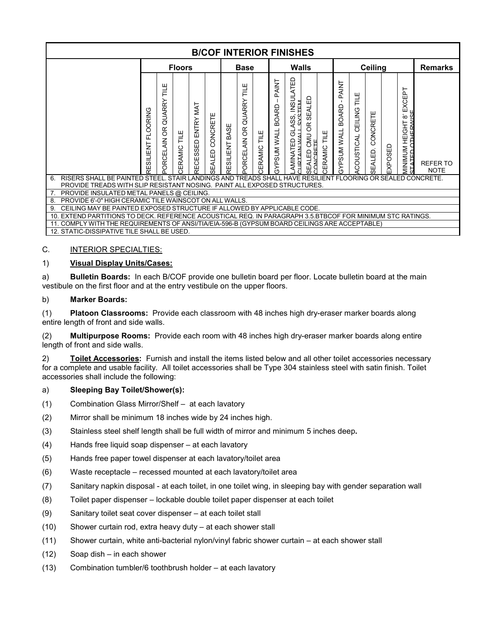|                                                                                                                                                                                              |                              |                                    |               |                                 |                 |                   |                            |              |                                             | <b>B/COF INTERIOR FINISHES</b>                             |                                                        |                     |                                             |                           |                          |         |                                                               |                                |
|----------------------------------------------------------------------------------------------------------------------------------------------------------------------------------------------|------------------------------|------------------------------------|---------------|---------------------------------|-----------------|-------------------|----------------------------|--------------|---------------------------------------------|------------------------------------------------------------|--------------------------------------------------------|---------------------|---------------------------------------------|---------------------------|--------------------------|---------|---------------------------------------------------------------|--------------------------------|
|                                                                                                                                                                                              |                              |                                    | <b>Floors</b> |                                 |                 |                   | <b>Base</b>                |              |                                             | Walls                                                      |                                                        |                     |                                             |                           | <b>Ceiling</b>           |         |                                                               | <b>Remarks</b>                 |
|                                                                                                                                                                                              | <b>FLOORING</b><br>RESILIENT | TILE<br>T<br>QUARRY<br>ORCELAIN OR | CERAMIC TILE  | <b>TAM</b><br>ENTRY<br>RECESSED | SEALED CONCRETE | BASE<br>RESILIENT | Ξ<br>QUARRY<br>ORCELAIN OR | CERAMIC TILE | PAINT<br><b>BOARD</b><br><b>TIAM MUSLAS</b> | S, INSULATED<br>STEM<br>GLASS,<br>LAMINATED<br>CLIRTAIN.WA | <b>SEALED</b><br>OR.<br>SEALED CMU (<br>CONCRETE<br>59 | <b>CERAMIC TILE</b> | PAINT<br><b>BOARD</b><br><b>TIAM MUSLAS</b> | CEILING TILE<br>COUSTICAL | CONCRETE<br>ALED.<br>မ္ဟ | EXPOSED | 눕<br>EXCEI<br>$\infty$<br>보<br>HEIGI<br>MININIMUM<br>STATED_C | <b>REFER TO</b><br><b>NOTE</b> |
| RISERS SHALL BE PAINTED STEEL. STAIR LANDINGS AND TREADS SHALL HAVE RESILIENT FLOORING OR SEALED CONCRETE.<br>6.<br>PROVIDE TREADS WITH SLIP RESISTANT NOSING. PAINT ALL EXPOSED STRUCTURES. |                              |                                    |               |                                 |                 |                   |                            |              |                                             |                                                            |                                                        |                     |                                             |                           |                          |         |                                                               |                                |
| PROVIDE INSULATED METAL PANELS @ CEILING.                                                                                                                                                    |                              |                                    |               |                                 |                 |                   |                            |              |                                             |                                                            |                                                        |                     |                                             |                           |                          |         |                                                               |                                |
| PROVIDE 6'-0" HIGH CERAMIC TILE WAINSCOT ON ALL WALLS.<br>8.                                                                                                                                 |                              |                                    |               |                                 |                 |                   |                            |              |                                             |                                                            |                                                        |                     |                                             |                           |                          |         |                                                               |                                |
| CEILING MAY BE PAINTED EXPOSED STRUCTURE IF ALLOWED BY APPLICABLE CODE.<br>9.                                                                                                                |                              |                                    |               |                                 |                 |                   |                            |              |                                             |                                                            |                                                        |                     |                                             |                           |                          |         |                                                               |                                |
| EXTEND PARTITIONS TO DECK. REFERENCE ACOUSTICAL REQ. IN PARAGRAPH 3.5 BTBCOF FOR MINIMUM STC RATINGS.<br>10.                                                                                 |                              |                                    |               |                                 |                 |                   |                            |              |                                             |                                                            |                                                        |                     |                                             |                           |                          |         |                                                               |                                |
|                                                                                                                                                                                              |                              |                                    |               |                                 |                 |                   |                            |              |                                             |                                                            |                                                        |                     |                                             |                           |                          |         |                                                               |                                |
| COMPLY WITH THE REQUIREMENTS OF ANSI/TIA/EIA-596-B (GYPSUM BOARD CEILINGS ARE ACCEPTABLE)<br>12. STATIC-DISSIPATIVE TILE SHALL BE USED.                                                      |                              |                                    |               |                                 |                 |                   |                            |              |                                             |                                                            |                                                        |                     |                                             |                           |                          |         |                                                               |                                |

#### C. **INTERIOR SPECIALTIES:**

#### 1) **Visual Display Units/Cases:**

a) **Bulletin Boards:** In each B/COF provide one bulletin board per floor. Locate bulletin board at the main vestibule on the first floor and at the entry vestibule on the upper floors.

#### b) **Marker Boards:**

(1) **Platoon Classrooms:** Provide each classroom with 48 inches high dry-eraser marker boards along entire length of front and side walls.

(2) **Multipurpose Rooms:** Provide each room with 48 inches high dry-eraser marker boards along entire length of front and side walls.

2) **Toilet Accessories:** Furnish and install the items listed below and all other toilet accessories necessary for a complete and usable facility. All toilet accessories shall be Type 304 stainless steel with satin finish. Toilet accessories shall include the following:

#### a) **Sleeping Bay Toilet/Shower(s):**

- (1) Combination Glass Mirror/Shelf at each lavatory
- (2) Mirror shall be minimum 18 inches wide by 24 inches high.
- (3) Stainless steel shelf length shall be full width of mirror and minimum 5 inches deep**.**
- (4) Hands free liquid soap dispenser at each lavatory
- (5) Hands free paper towel dispenser at each lavatory/toilet area
- (6) Waste receptacle recessed mounted at each lavatory/toilet area
- (7) Sanitary napkin disposal at each toilet, in one toilet wing, in sleeping bay with gender separation wall
- (8) Toilet paper dispenser lockable double toilet paper dispenser at each toilet
- (9) Sanitary toilet seat cover dispenser at each toilet stall
- (10) Shower curtain rod, extra heavy duty at each shower stall
- (11) Shower curtain, white anti-bacterial nylon/vinyl fabric shower curtain at each shower stall
- (12) Soap dish in each shower
- (13) Combination tumbler/6 toothbrush holder at each lavatory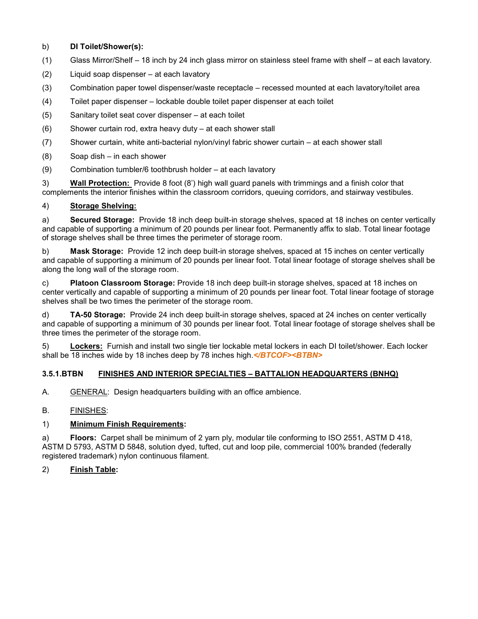#### b) **DI Toilet/Shower(s):**

- (1) Glass Mirror/Shelf 18 inch by 24 inch glass mirror on stainless steel frame with shelf at each lavatory.
- (2) Liquid soap dispenser at each lavatory
- (3) Combination paper towel dispenser/waste receptacle recessed mounted at each lavatory/toilet area
- (4) Toilet paper dispenser lockable double toilet paper dispenser at each toilet
- (5) Sanitary toilet seat cover dispenser at each toilet
- (6) Shower curtain rod, extra heavy duty at each shower stall
- (7) Shower curtain, white anti-bacterial nylon/vinyl fabric shower curtain at each shower stall
- (8) Soap dish in each shower
- (9) Combination tumbler/6 toothbrush holder at each lavatory

3) **Wall Protection:** Provide 8 foot (8') high wall guard panels with trimmings and a finish color that complements the interior finishes within the classroom corridors, queuing corridors, and stairway vestibules.

#### 4) **Storage Shelving:**

a) **Secured Storage:** Provide 18 inch deep built-in storage shelves, spaced at 18 inches on center vertically and capable of supporting a minimum of 20 pounds per linear foot. Permanently affix to slab. Total linear footage of storage shelves shall be three times the perimeter of storage room.

b) **Mask Storage:** Provide 12 inch deep built-in storage shelves, spaced at 15 inches on center vertically and capable of supporting a minimum of 20 pounds per linear foot. Total linear footage of storage shelves shall be along the long wall of the storage room.

c) **Platoon Classroom Storage:** Provide 18 inch deep built-in storage shelves, spaced at 18 inches on center vertically and capable of supporting a minimum of 20 pounds per linear foot. Total linear footage of storage shelves shall be two times the perimeter of the storage room.

d) **TA-50 Storage:** Provide 24 inch deep built-in storage shelves, spaced at 24 inches on center vertically and capable of supporting a minimum of 30 pounds per linear foot. Total linear footage of storage shelves shall be three times the perimeter of the storage room.

5) **Lockers:** Furnish and install two single tier lockable metal lockers in each DI toilet/shower. Each locker shall be 18 inches wide by 18 inches deep by 78 inches high.*</BTCOF><BTBN>*

#### **3.5.1.BTBN FINISHES AND INTERIOR SPECIALTIES – BATTALION HEADQUARTERS (BNHQ)**

A. GENERAL: Design headquarters building with an office ambience.

B. FINISHES:

#### 1) **Minimum Finish Requirements:**

a) **Floors:** Carpet shall be minimum of 2 yarn ply, modular tile conforming to ISO 2551, ASTM D 418, ASTM D 5793, ASTM D 5848, solution dyed, tufted, cut and loop pile, commercial 100% branded (federally registered trademark) nylon continuous filament.

#### 2) **Finish Table:**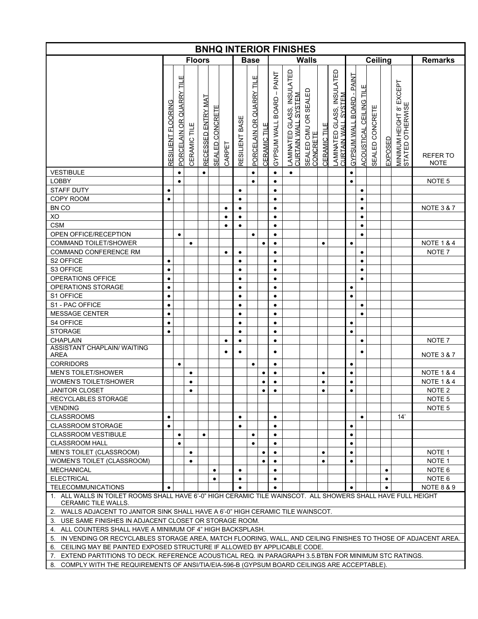|                                                                                                                                           |                    |                          |                     |                    |                       |           |                |                              |              |                                                   | <b>BNHQ INTERIOR FINISHES</b>                                     |                                  |                     |                                                           |                              |                                |                 |           |                                                 |                                |
|-------------------------------------------------------------------------------------------------------------------------------------------|--------------------|--------------------------|---------------------|--------------------|-----------------------|-----------|----------------|------------------------------|--------------|---------------------------------------------------|-------------------------------------------------------------------|----------------------------------|---------------------|-----------------------------------------------------------|------------------------------|--------------------------------|-----------------|-----------|-------------------------------------------------|--------------------------------|
|                                                                                                                                           |                    |                          |                     | <b>Floors</b>      |                       |           |                | <b>Base</b>                  |              |                                                   |                                                                   | <b>Walls</b>                     |                     |                                                           |                              |                                | <b>Ceiling</b>  |           |                                                 | <b>Remarks</b>                 |
|                                                                                                                                           | RESILIENT FLOORING | PORCELAIN OR QUARRY TILE | <b>CERAMIC TILE</b> | RECESSED ENTRY MAT | <b>SEALED CONCRET</b> | CARPET    | RESILIENT BASE | Щ<br>PORCELAIN OR QUARRY TIL | CERAMIC TILE | <b>PAINT</b><br>$\mathbf{I}$<br>GYPSUM WALL BOARD | _AMINATED GLASS, INSULATED<br>CURTAIN WALL SYSTEM<br>CURTAIN WALI | SEALED CMU OR SEALED<br>CONCRETE | <b>CERAMIC TILE</b> | AMINATED GLASS, INSULATED<br>SYSTEM<br><b>CURTAIN WAL</b> | - PAINT<br>GYPSUM WALL BOARD | Ë<br><b>ACOUSTICAL CEILING</b> | SEALED CONCRETE | EXPOSED   | EXCEPT<br>MINIMUM HEIGHT 8'<br>STATED OTHERWISI | <b>REFER TO</b><br><b>NOTE</b> |
| <b>VESTIBULE</b>                                                                                                                          |                    | $\bullet$                |                     | $\bullet$          |                       |           |                | $\bullet$                    |              | $\bullet$                                         | $\bullet$                                                         |                                  |                     |                                                           | $\bullet$                    |                                |                 |           |                                                 |                                |
| <b>LOBBY</b>                                                                                                                              |                    | $\bullet$                |                     |                    |                       |           |                | $\bullet$                    |              | $\bullet$                                         |                                                                   |                                  |                     |                                                           | $\bullet$                    |                                |                 |           |                                                 | NOTE <sub>5</sub>              |
| STAFF DUTY                                                                                                                                | $\bullet$          |                          |                     |                    |                       |           | $\bullet$      |                              |              | $\bullet$                                         |                                                                   |                                  |                     |                                                           |                              | $\bullet$                      |                 |           |                                                 |                                |
| COPY ROOM                                                                                                                                 | $\bullet$          |                          |                     |                    |                       |           | $\bullet$      |                              |              | $\bullet$                                         |                                                                   |                                  |                     |                                                           |                              | $\bullet$                      |                 |           |                                                 |                                |
| BN CO                                                                                                                                     |                    |                          |                     |                    |                       | $\bullet$ | $\bullet$      |                              |              | $\bullet$                                         |                                                                   |                                  |                     |                                                           |                              | $\bullet$                      |                 |           |                                                 | <b>NOTE 3 &amp; 7</b>          |
| XO                                                                                                                                        |                    |                          |                     |                    |                       | $\bullet$ | $\bullet$      |                              |              | $\bullet$                                         |                                                                   |                                  |                     |                                                           |                              | $\bullet$                      |                 |           |                                                 |                                |
| <b>CSM</b>                                                                                                                                |                    |                          |                     |                    |                       | $\bullet$ | $\bullet$      |                              |              | $\bullet$                                         |                                                                   |                                  |                     |                                                           |                              | $\bullet$                      |                 |           |                                                 |                                |
| <b>OPEN OFFICE/RECEPTION</b>                                                                                                              |                    | $\bullet$                |                     |                    |                       |           |                | $\bullet$                    |              | $\bullet$                                         |                                                                   |                                  |                     |                                                           |                              | $\bullet$                      |                 |           |                                                 |                                |
| <b>COMMAND TOILET/SHOWER</b>                                                                                                              |                    |                          | $\bullet$           |                    |                       |           |                |                              | $\bullet$    | $\bullet$                                         |                                                                   |                                  | $\bullet$           |                                                           | $\bullet$                    |                                |                 |           |                                                 | <b>NOTE 1 &amp; 4</b>          |
| COMMAND CONFERENCE RM                                                                                                                     |                    |                          |                     |                    |                       | $\bullet$ | $\bullet$      |                              |              | $\bullet$                                         |                                                                   |                                  |                     |                                                           |                              | $\bullet$                      |                 |           |                                                 | NOTE <sub>7</sub>              |
| S2 OFFICE                                                                                                                                 | $\bullet$          |                          |                     |                    |                       |           | $\bullet$      |                              |              | $\bullet$                                         |                                                                   |                                  |                     |                                                           |                              | $\bullet$                      |                 |           |                                                 |                                |
| S3 OFFICE                                                                                                                                 | $\bullet$          |                          |                     |                    |                       |           | $\bullet$      |                              |              | $\bullet$                                         |                                                                   |                                  |                     |                                                           |                              | $\bullet$                      |                 |           |                                                 |                                |
| OPERATIONS OFFICE                                                                                                                         | $\bullet$          |                          |                     |                    |                       |           | $\bullet$      |                              |              | $\bullet$                                         |                                                                   |                                  |                     |                                                           |                              | $\bullet$                      |                 |           |                                                 |                                |
| OPERATIONS STORAGE                                                                                                                        | $\bullet$          |                          |                     |                    |                       |           | $\bullet$      |                              |              | $\bullet$                                         |                                                                   |                                  |                     |                                                           | ٠                            |                                |                 |           |                                                 |                                |
| S1 OFFICE                                                                                                                                 | $\bullet$          |                          |                     |                    |                       |           | $\bullet$      |                              |              | $\bullet$                                         |                                                                   |                                  |                     |                                                           | $\bullet$                    |                                |                 |           |                                                 |                                |
| S1 - PAC OFFICE                                                                                                                           | $\bullet$          |                          |                     |                    |                       |           | $\bullet$      |                              |              | $\bullet$                                         |                                                                   |                                  |                     |                                                           |                              | $\bullet$                      |                 |           |                                                 |                                |
| <b>MESSAGE CENTER</b>                                                                                                                     | $\bullet$          |                          |                     |                    |                       |           | $\bullet$      |                              |              | $\bullet$                                         |                                                                   |                                  |                     |                                                           |                              | $\bullet$                      |                 |           |                                                 |                                |
| S4 OFFICE                                                                                                                                 | $\bullet$          |                          |                     |                    |                       |           | $\bullet$      |                              |              | $\bullet$                                         |                                                                   |                                  |                     |                                                           | $\bullet$                    |                                |                 |           |                                                 |                                |
| <b>STORAGE</b>                                                                                                                            | $\bullet$          |                          |                     |                    |                       |           | $\bullet$      |                              |              | $\bullet$                                         |                                                                   |                                  |                     |                                                           | $\bullet$                    |                                |                 |           |                                                 |                                |
| <b>CHAPLAIN</b>                                                                                                                           |                    |                          |                     |                    |                       | $\bullet$ | $\bullet$      |                              |              | $\bullet$                                         |                                                                   |                                  |                     |                                                           |                              |                                |                 |           |                                                 | NOTE <sub>7</sub>              |
| <b>ASSISTANT CHAPLAIN/ WAITING</b>                                                                                                        |                    |                          |                     |                    |                       | $\bullet$ | $\bullet$      |                              |              | $\bullet$                                         |                                                                   |                                  |                     |                                                           |                              |                                |                 |           |                                                 |                                |
| <b>AREA</b>                                                                                                                               |                    |                          |                     |                    |                       |           |                |                              |              |                                                   |                                                                   |                                  |                     |                                                           |                              |                                |                 |           |                                                 | <b>NOTE 3 &amp; 7</b>          |
| <b>CORRIDORS</b>                                                                                                                          |                    | $\bullet$                |                     |                    |                       |           |                | $\bullet$                    |              | $\bullet$                                         |                                                                   |                                  |                     |                                                           | $\bullet$                    |                                |                 |           |                                                 |                                |
| MEN'S TOILET/SHOWER                                                                                                                       |                    |                          | $\bullet$           |                    |                       |           |                |                              | $\bullet$    | $\bullet$                                         |                                                                   |                                  | $\bullet$           |                                                           | $\bullet$                    |                                |                 |           |                                                 | <b>NOTE 1 &amp; 4</b>          |
| WOMEN'S TOILET/SHOWER                                                                                                                     |                    |                          | $\bullet$           |                    |                       |           |                |                              | ٠            | $\bullet$                                         |                                                                   |                                  | ٠                   |                                                           | $\bullet$                    |                                |                 |           |                                                 | <b>NOTE 1 &amp; 4</b>          |
| <b>JANITOR CLOSET</b>                                                                                                                     |                    |                          | $\bullet$           |                    |                       |           |                |                              | ٠            | $\bullet$                                         |                                                                   |                                  | $\bullet$           |                                                           | $\bullet$                    |                                |                 |           |                                                 | NOTE <sub>2</sub>              |
| <b>RECYCLABLES STORAGE</b>                                                                                                                |                    |                          |                     |                    |                       |           |                |                              |              |                                                   |                                                                   |                                  |                     |                                                           |                              |                                |                 |           |                                                 | NOTE <sub>5</sub>              |
| <b>VENDING</b>                                                                                                                            |                    |                          |                     |                    |                       |           |                |                              |              |                                                   |                                                                   |                                  |                     |                                                           |                              |                                |                 |           |                                                 | NOTE <sub>5</sub>              |
| <b>CLASSROOMS</b>                                                                                                                         | $\bullet$          |                          |                     |                    |                       |           | $\bullet$      |                              |              | $\bullet$                                         |                                                                   |                                  |                     |                                                           |                              | $\bullet$                      |                 |           | 14'                                             |                                |
| <b>CLASSROOM STORAGE</b>                                                                                                                  | $\bullet$          |                          |                     |                    |                       |           | $\bullet$      |                              |              | $\bullet$                                         |                                                                   |                                  |                     |                                                           | ٠                            |                                |                 |           |                                                 |                                |
| <b>CLASSROOM VESTIBULE</b>                                                                                                                |                    | $\bullet$                |                     | ٠                  |                       |           |                | $\bullet$                    |              | $\bullet$                                         |                                                                   |                                  |                     |                                                           | $\bullet$                    |                                |                 |           |                                                 |                                |
| <b>CLASSROOM HALL</b>                                                                                                                     |                    | $\bullet$                |                     |                    |                       |           |                | $\bullet$                    |              | $\bullet$                                         |                                                                   |                                  |                     |                                                           | $\bullet$                    |                                |                 |           |                                                 |                                |
| <b>MEN'S TOILET (CLASSROOM)</b>                                                                                                           |                    |                          | $\bullet$           |                    |                       |           |                |                              | $\bullet$    | $\bullet$                                         |                                                                   |                                  | $\bullet$           |                                                           | $\bullet$                    |                                |                 |           |                                                 | NOTE <sub>1</sub>              |
| WOMEN'S TOILET (CLASSROOM)                                                                                                                |                    |                          | $\bullet$           |                    |                       |           |                |                              | ٠            | $\bullet$                                         |                                                                   |                                  | ٠                   |                                                           | ٠                            |                                |                 |           |                                                 | NOTE <sub>1</sub>              |
| <b>MECHANICAL</b>                                                                                                                         |                    |                          |                     |                    |                       |           | $\bullet$      |                              |              | $\bullet$                                         |                                                                   |                                  |                     |                                                           |                              |                                |                 | ٠         |                                                 | NOTE 6                         |
| <b>ELECTRICAL</b>                                                                                                                         |                    |                          |                     |                    | ٠                     |           | $\bullet$      |                              |              | $\bullet$                                         |                                                                   |                                  |                     |                                                           |                              |                                |                 | $\bullet$ |                                                 | NOTE 6                         |
| <b>TELECOMMUNICATIONS</b><br>1. ALL WALLS IN TOILET ROOMS SHALL HAVE 6'-0" HIGH CERAMIC TILE WAINSCOT. ALL SHOWERS SHALL HAVE FULL HEIGHT | $\bullet$          |                          |                     |                    |                       |           | $\bullet$      |                              |              | $\bullet$                                         |                                                                   |                                  |                     |                                                           | $\bullet$                    |                                |                 | $\bullet$ |                                                 | <b>NOTE 8 &amp; 9</b>          |
| CERAMIC TILE WALLS.                                                                                                                       |                    |                          |                     |                    |                       |           |                |                              |              |                                                   |                                                                   |                                  |                     |                                                           |                              |                                |                 |           |                                                 |                                |
| WALLS ADJACENT TO JANITOR SINK SHALL HAVE A 6'-0" HIGH CERAMIC TILE WAINSCOT.<br>2.                                                       |                    |                          |                     |                    |                       |           |                |                              |              |                                                   |                                                                   |                                  |                     |                                                           |                              |                                |                 |           |                                                 |                                |
| 3. USE SAME FINISHES IN ADJACENT CLOSET OR STORAGE ROOM.                                                                                  |                    |                          |                     |                    |                       |           |                |                              |              |                                                   |                                                                   |                                  |                     |                                                           |                              |                                |                 |           |                                                 |                                |
| 4. ALL COUNTERS SHALL HAVE A MINIMUM OF 4" HIGH BACKSPLASH.                                                                               |                    |                          |                     |                    |                       |           |                |                              |              |                                                   |                                                                   |                                  |                     |                                                           |                              |                                |                 |           |                                                 |                                |
| IN VENDING OR RECYCLABLES STORAGE AREA, MATCH FLOORING, WALL, AND CEILING FINISHES TO THOSE OF ADJACENT AREA.<br>5.                       |                    |                          |                     |                    |                       |           |                |                              |              |                                                   |                                                                   |                                  |                     |                                                           |                              |                                |                 |           |                                                 |                                |
| CEILING MAY BE PAINTED EXPOSED STRUCTURE IF ALLOWED BY APPLICABLE CODE.<br>6.                                                             |                    |                          |                     |                    |                       |           |                |                              |              |                                                   |                                                                   |                                  |                     |                                                           |                              |                                |                 |           |                                                 |                                |
| EXTEND PARTITIONS TO DECK. REFERENCE ACOUSTICAL REQ. IN PARAGRAPH 3.5.BTBN FOR MINIMUM STC RATINGS.<br>7.                                 |                    |                          |                     |                    |                       |           |                |                              |              |                                                   |                                                                   |                                  |                     |                                                           |                              |                                |                 |           |                                                 |                                |
| COMPLY WITH THE REQUIREMENTS OF ANSI/TIA/EIA-596-B (GYPSUM BOARD CEILINGS ARE ACCEPTABLE).<br>8.                                          |                    |                          |                     |                    |                       |           |                |                              |              |                                                   |                                                                   |                                  |                     |                                                           |                              |                                |                 |           |                                                 |                                |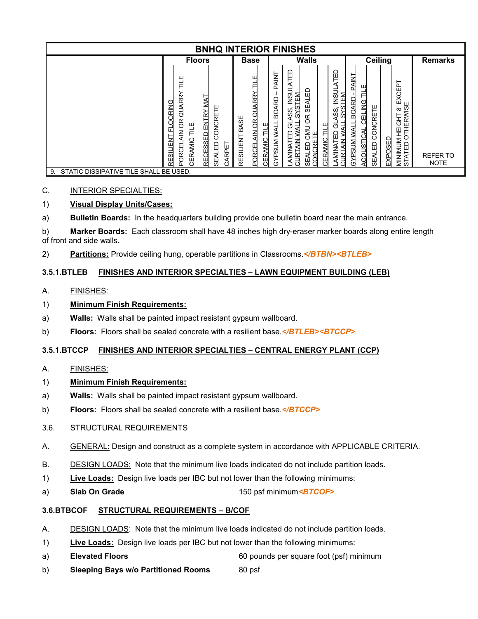|                                              |                                                                                                   | <b>BNHQ INTERIOR FINISHES</b>                                   |                            |                                                             |                                                |                                                                                                        |                                                    |                   |                                                                                    |                                    |                                                      |                    |                                                                                                                         |                                |
|----------------------------------------------|---------------------------------------------------------------------------------------------------|-----------------------------------------------------------------|----------------------------|-------------------------------------------------------------|------------------------------------------------|--------------------------------------------------------------------------------------------------------|----------------------------------------------------|-------------------|------------------------------------------------------------------------------------|------------------------------------|------------------------------------------------------|--------------------|-------------------------------------------------------------------------------------------------------------------------|--------------------------------|
|                                              | <b>Floors</b>                                                                                     |                                                                 |                            | <b>Base</b>                                                 |                                                |                                                                                                        | <b>Walls</b>                                       |                   |                                                                                    |                                    | Ceiling                                              |                    |                                                                                                                         | <b>Remarks</b>                 |
|                                              | ш<br>Ē<br>QUARRY<br>OORING<br>8<br>ш<br>긑<br>囸<br>$\frac{Z}{d}$<br>RESILIENT<br>CERAMIC<br>PORCEL | RECESSED ENTRY MAT<br>CONCRETE<br><b>SEALED</b><br><b>ARPET</b> | 9€<br>∢<br>മ്<br>RESILIENT | ๔<br>ಸ<br>∢<br>ō<br>g<br>当<br>⋚<br><b>CERAMIC</b><br>PORCEL | TNIK<br>n<br>BOARD<br><b>WALL</b><br>PSUM<br>δ | <b>ATED</b><br><b>INSUL</b><br>TEM<br>ASS<br>SYS<br>ಕ<br>₹<br>AMINATED<br>;URTAIN W/<br>≱<br>≨<br>CURT | 읎<br>EAL<br>$\omega$<br>ЭŘ<br>CMD<br>≏<br>Щ<br>ناع | щ<br>Ē<br>ΜN<br>≃ | <b>TED</b><br><b>INSUL</b><br>≊<br>戸<br>SS<br>৩<br>ੜ<br>⊞<br>≥<br>╡<br>VNIN<br>JRT | PAINT<br>BOARD<br><b>AW MUSHAS</b> | ≓<br>CEILING<br>CONCRETE<br>ACOUSTICAL<br>ALED<br>99 | <b>OSED</b><br>EXP | $\overline{\mathbf{a}}$<br>ш<br>O<br>×<br>ш<br>THERWISE<br>$\infty$<br>I<br>HEIGI<br>О<br><b>MININIUM</b><br>ATED<br>Ò. | <b>REFER TO</b><br><b>NOTE</b> |
| STATIC DISSIPATIVE TILE SHALL BE USED.<br>9. |                                                                                                   |                                                                 |                            |                                                             |                                                |                                                                                                        |                                                    |                   |                                                                                    |                                    |                                                      |                    |                                                                                                                         |                                |

## C. INTERIOR SPECIALTIES:

# 1) **Visual Display Units/Cases:**

a) **Bulletin Boards:** In the headquarters building provide one bulletin board near the main entrance.

b) **Marker Boards:** Each classroom shall have 48 inches high dry-eraser marker boards along entire length of front and side walls.

2) **Partitions:** Provide ceiling hung, operable partitions in Classrooms.*</BTBN><BTLEB>*

#### **3.5.1.BTLEB FINISHES AND INTERIOR SPECIALTIES – LAWN EQUIPMENT BUILDING (LEB)**

#### A. FINISHES:

#### 1) **Minimum Finish Requirements:**

- a) **Walls:** Walls shall be painted impact resistant gypsum wallboard.
- b) **Floors:** Floors shall be sealed concrete with a resilient base.*</BTLEB><BTCCP>*

#### **3.5.1.BTCCP FINISHES AND INTERIOR SPECIALTIES – CENTRAL ENERGY PLANT (CCP)**

#### A. FINISHES:

# 1) **Minimum Finish Requirements:**

- a) **Walls:** Walls shall be painted impact resistant gypsum wallboard.
- b) **Floors:** Floors shall be sealed concrete with a resilient base.*</BTCCP>*
- 3.6. STRUCTURAL REQUIREMENTS
- A. GENERAL: Design and construct as a complete system in accordance with APPLICABLE CRITERIA.
- B. DESIGN LOADS: Note that the minimum live loads indicated do not include partition loads.
- 1) **Live Loads:** Design live loads per IBC but not lower than the following minimums:
- a) **Slab On Grade** 150 psf minimum*<BTCOF>*

#### **3.6.BTBCOF STRUCTURAL REQUIREMENTS – B/COF**

- A. DESIGN LOADS: Note that the minimum live loads indicated do not include partition loads.
- 1) **Live Loads:** Design live loads per IBC but not lower than the following minimums:
- a) **Elevated Floors** 60 pounds per square foot (psf) minimum
- b) **Sleeping Bays w/o Partitioned Rooms** 80 psf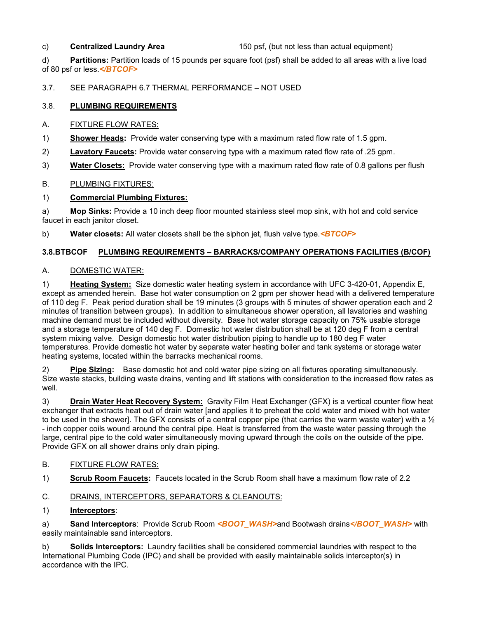c) **Centralized Laundry Area** 150 psf, (but not less than actual equipment)

d) **Partitions:** Partition loads of 15 pounds per square foot (psf) shall be added to all areas with a live load of 80 psf or less.*</BTCOF>*

3.7. SEE PARAGRAPH 6.7 THERMAL PERFORMANCE – NOT USED

# 3.8. **PLUMBING REQUIREMENTS**

#### A. FIXTURE FLOW RATES:

- 1) **Shower Heads:** Provide water conserving type with a maximum rated flow rate of 1.5 gpm.
- 2) **Lavatory Faucets:** Provide water conserving type with a maximum rated flow rate of .25 gpm.
- 3) **Water Closets:** Provide water conserving type with a maximum rated flow rate of 0.8 gallons per flush

## B. PLUMBING FIXTURES:

## 1) **Commercial Plumbing Fixtures:**

a) **Mop Sinks:** Provide a 10 inch deep floor mounted stainless steel mop sink, with hot and cold service faucet in each janitor closet.

b) **Water closets:** All water closets shall be the siphon jet, flush valve type.*<BTCOF>*

# **3.8.BTBCOF PLUMBING REQUIREMENTS – BARRACKS/COMPANY OPERATIONS FACILITIES (B/COF)**

## A. DOMESTIC WATER:

1) **Heating System:** Size domestic water heating system in accordance with UFC 3-420-01, Appendix E, except as amended herein. Base hot water consumption on 2 gpm per shower head with a delivered temperature of 110 deg F. Peak period duration shall be 19 minutes (3 groups with 5 minutes of shower operation each and 2 minutes of transition between groups). In addition to simultaneous shower operation, all lavatories and washing machine demand must be included without diversity. Base hot water storage capacity on 75% usable storage and a storage temperature of 140 deg F. Domestic hot water distribution shall be at 120 deg F from a central system mixing valve. Design domestic hot water distribution piping to handle up to 180 deg F water temperatures. Provide domestic hot water by separate water heating boiler and tank systems or storage water heating systems, located within the barracks mechanical rooms.

2) **Pipe Sizing:** Base domestic hot and cold water pipe sizing on all fixtures operating simultaneously. Size waste stacks, building waste drains, venting and lift stations with consideration to the increased flow rates as well.

3) **Drain Water Heat Recovery System:** Gravity Film Heat Exchanger (GFX) is a vertical counter flow heat exchanger that extracts heat out of drain water [and applies it to preheat the cold water and mixed with hot water to be used in the shower]. The GFX consists of a central copper pipe (that carries the warm waste water) with a  $\frac{1}{2}$ - inch copper coils wound around the central pipe. Heat is transferred from the waste water passing through the large, central pipe to the cold water simultaneously moving upward through the coils on the outside of the pipe. Provide GFX on all shower drains only drain piping.

#### B. FIXTURE FLOW RATES:

1) **Scrub Room Faucets:** Faucets located in the Scrub Room shall have a maximum flow rate of 2.2

# C. DRAINS, INTERCEPTORS, SEPARATORS & CLEANOUTS:

#### 1) **Interceptors**:

a) **Sand Interceptors**: Provide Scrub Room <**BOOT\_WASH>**and Bootwash drains</**BOOT\_WASH>** with easily maintainable sand interceptors.

b) **Solids Interceptors:** Laundry facilities shall be considered commercial laundries with respect to the International Plumbing Code (IPC) and shall be provided with easily maintainable solids interceptor(s) in accordance with the IPC.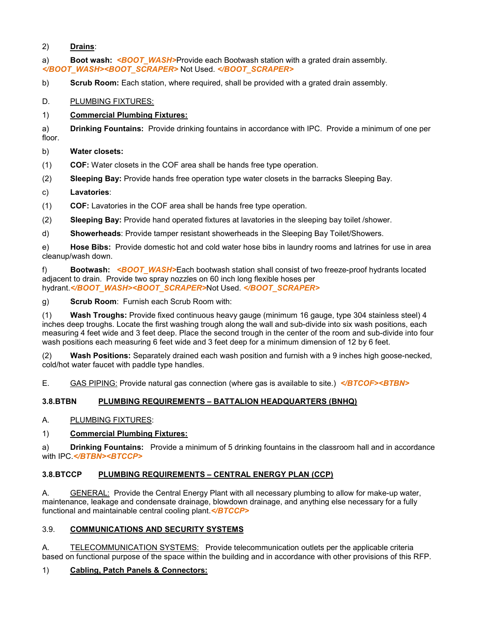#### 2) **Drains**:

a) **Boot wash:** *<BOOT\_WASH>*Provide each Bootwash station with a grated drain assembly. *</BOOT\_WASH><BOOT\_SCRAPER>* Not Used. *</BOOT\_SCRAPER>*

b) **Scrub Room:** Each station, where required, shall be provided with a grated drain assembly.

D. PLUMBING FIXTURES:

#### 1) **Commercial Plumbing Fixtures:**

a) **Drinking Fountains:** Provide drinking fountains in accordance with IPC. Provide a minimum of one per floor.

## b) **Water closets:**

(1) **COF:** Water closets in the COF area shall be hands free type operation.

(2) **Sleeping Bay:** Provide hands free operation type water closets in the barracks Sleeping Bay.

- c) **Lavatories**:
- (1) **COF:** Lavatories in the COF area shall be hands free type operation.
- (2) **Sleeping Bay:** Provide hand operated fixtures at lavatories in the sleeping bay toilet /shower.

d) **Showerheads**: Provide tamper resistant showerheads in the Sleeping Bay Toilet/Showers.

e) **Hose Bibs:** Provide domestic hot and cold water hose bibs in laundry rooms and latrines for use in area cleanup/wash down.

f) **Bootwash:** *<BOOT\_WASH>*Each bootwash station shall consist of two freeze-proof hydrants located adjacent to drain. Provide two spray nozzles on 60 inch long flexible hoses per hydrant.*</BOOT\_WASH><BOOT\_SCRAPER>*Not Used. *</BOOT\_SCRAPER>*

g) **Scrub Room**: Furnish each Scrub Room with:

(1) **Wash Troughs:** Provide fixed continuous heavy gauge (minimum 16 gauge, type 304 stainless steel) 4 inches deep troughs. Locate the first washing trough along the wall and sub-divide into six wash positions, each measuring 4 feet wide and 3 feet deep. Place the second trough in the center of the room and sub-divide into four wash positions each measuring 6 feet wide and 3 feet deep for a minimum dimension of 12 by 6 feet.

(2) **Wash Positions:** Separately drained each wash position and furnish with a 9 inches high goose-necked, cold/hot water faucet with paddle type handles.

E. GAS PIPING: Provide natural gas connection (where gas is available to site.) *</BTCOF><BTBN>*

# **3.8.BTBN PLUMBING REQUIREMENTS – BATTALION HEADQUARTERS (BNHQ)**

#### A. PLUMBING FIXTURES:

#### 1) **Commercial Plumbing Fixtures:**

a) **Drinking Fountains:** Provide a minimum of 5 drinking fountains in the classroom hall and in accordance with IPC.*</BTBN><BTCCP>*

#### **3.8.BTCCP PLUMBING REQUIREMENTS – CENTRAL ENERGY PLAN (CCP)**

A. GENERAL: Provide the Central Energy Plant with all necessary plumbing to allow for make-up water, maintenance, leakage and condensate drainage, blowdown drainage, and anything else necessary for a fully functional and maintainable central cooling plant.*</BTCCP>*

#### 3.9. **COMMUNICATIONS AND SECURITY SYSTEMS**

A. TELECOMMUNICATION SYSTEMS: Provide telecommunication outlets per the applicable criteria based on functional purpose of the space within the building and in accordance with other provisions of this RFP.

# 1) **Cabling, Patch Panels & Connectors:**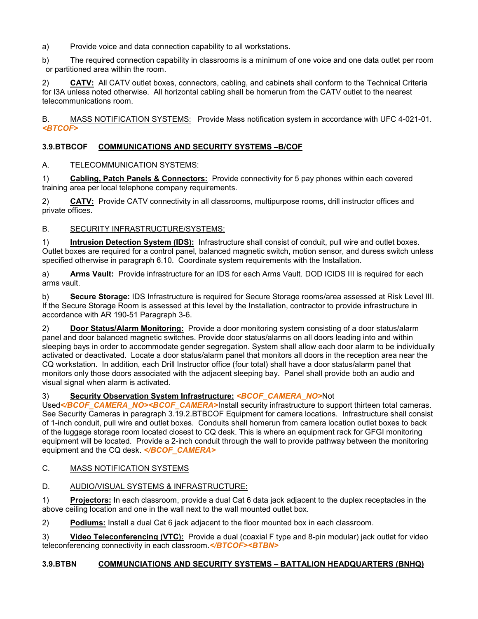a) Provide voice and data connection capability to all workstations.

b) The required connection capability in classrooms is a minimum of one voice and one data outlet per room or partitioned area within the room.

2) **CATV:** All CATV outlet boxes, connectors, cabling, and cabinets shall conform to the Technical Criteria for I3A unless noted otherwise. All horizontal cabling shall be homerun from the CATV outlet to the nearest telecommunications room.

B. MASS NOTIFICATION SYSTEMS: Provide Mass notification system in accordance with UFC 4-021-01. *<BTCOF>*

# **3.9.BTBCOF COMMUNICATIONS AND SECURITY SYSTEMS –B/COF**

## A. TELECOMMUNICATION SYSTEMS:

1) **Cabling, Patch Panels & Connectors:** Provide connectivity for 5 pay phones within each covered training area per local telephone company requirements.

2) **CATV:** Provide CATV connectivity in all classrooms, multipurpose rooms, drill instructor offices and private offices.

#### B. SECURITY INFRASTRUCTURE/SYSTEMS:

1) **Intrusion Detection System (IDS):** Infrastructure shall consist of conduit, pull wire and outlet boxes. Outlet boxes are required for a control panel, balanced magnetic switch, motion sensor, and duress switch unless specified otherwise in paragraph 6.10. Coordinate system requirements with the Installation.

a) **Arms Vault:** Provide infrastructure for an IDS for each Arms Vault. DOD ICIDS III is required for each arms vault.

b) **Secure Storage:** IDS Infrastructure is required for Secure Storage rooms/area assessed at Risk Level III. If the Secure Storage Room is assessed at this level by the Installation, contractor to provide infrastructure in accordance with AR 190-51 Paragraph 3-6.

2) **Door Status/Alarm Monitoring:** Provide a door monitoring system consisting of a door status/alarm panel and door balanced magnetic switches. Provide door status/alarms on all doors leading into and within sleeping bays in order to accommodate gender segregation. System shall allow each door alarm to be individually activated or deactivated. Locate a door status/alarm panel that monitors all doors in the reception area near the CQ workstation. In addition, each Drill Instructor office (four total) shall have a door status/alarm panel that monitors only those doors associated with the adjacent sleeping bay. Panel shall provide both an audio and visual signal when alarm is activated.

# 3) **Security Observation System Infrastructure:** *<BCOF\_CAMERA\_NO>*Not

Used</BCOF\_CAMERA\_NO><BCOF\_CAMERA>Install security infrastructure to support thirteen total cameras. See Security Cameras in paragraph 3.19.2.BTBCOF Equipment for camera locations. Infrastructure shall consist of 1-inch conduit, pull wire and outlet boxes. Conduits shall homerun from camera location outlet boxes to back of the luggage storage room located closest to CQ desk. This is where an equipment rack for GFGI monitoring equipment will be located. Provide a 2-inch conduit through the wall to provide pathway between the monitoring equipment and the CQ desk. *</BCOF\_CAMERA>*

# C. MASS NOTIFICATION SYSTEMS

#### D. AUDIO/VISUAL SYSTEMS & INFRASTRUCTURE:

1) **Projectors:** In each classroom, provide a dual Cat 6 data jack adjacent to the duplex receptacles in the above ceiling location and one in the wall next to the wall mounted outlet box.

2) **Podiums:** Install a dual Cat 6 jack adjacent to the floor mounted box in each classroom.

3) **Video Teleconferencing (VTC):** Provide a dual (coaxial F type and 8-pin modular) jack outlet for video teleconferencing connectivity in each classroom.*</BTCOF><BTBN>*

#### **3.9.BTBN COMMUNCIATIONS AND SECURITY SYSTEMS – BATTALION HEADQUARTERS (BNHQ)**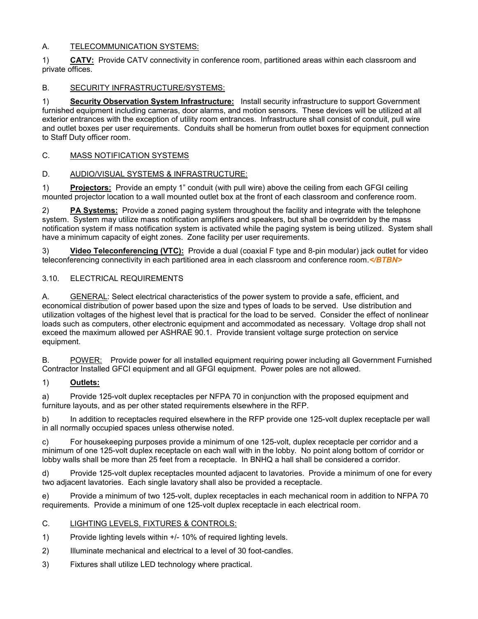## A. TELECOMMUNICATION SYSTEMS:

1) **CATV:** Provide CATV connectivity in conference room, partitioned areas within each classroom and private offices.

## B. SECURITY INFRASTRUCTURE/SYSTEMS:

1) **Security Observation System Infrastructure:** Install security infrastructure to support Government furnished equipment including cameras, door alarms, and motion sensors. These devices will be utilized at all exterior entrances with the exception of utility room entrances. Infrastructure shall consist of conduit, pull wire and outlet boxes per user requirements. Conduits shall be homerun from outlet boxes for equipment connection to Staff Duty officer room.

## C. MASS NOTIFICATION SYSTEMS

## D. AUDIO/VISUAL SYSTEMS & INFRASTRUCTURE:

1) **Projectors:** Provide an empty 1" conduit (with pull wire) above the ceiling from each GFGI ceiling mounted projector location to a wall mounted outlet box at the front of each classroom and conference room.

2) **PA Systems:** Provide a zoned paging system throughout the facility and integrate with the telephone system. System may utilize mass notification amplifiers and speakers, but shall be overridden by the mass notification system if mass notification system is activated while the paging system is being utilized. System shall have a minimum capacity of eight zones. Zone facility per user requirements.

3) **Video Teleconferencing (VTC):** Provide a dual (coaxial F type and 8-pin modular) jack outlet for video teleconferencing connectivity in each partitioned area in each classroom and conference room.*</BTBN>*

## 3.10. ELECTRICAL REQUIREMENTS

A. GENERAL: Select electrical characteristics of the power system to provide a safe, efficient, and economical distribution of power based upon the size and types of loads to be served. Use distribution and utilization voltages of the highest level that is practical for the load to be served. Consider the effect of nonlinear loads such as computers, other electronic equipment and accommodated as necessary. Voltage drop shall not exceed the maximum allowed per ASHRAE 90.1. Provide transient voltage surge protection on service equipment.

B. POWER: Provide power for all installed equipment requiring power including all Government Furnished Contractor Installed GFCI equipment and all GFGI equipment. Power poles are not allowed.

#### 1) **Outlets:**

a) Provide 125-volt duplex receptacles per NFPA 70 in conjunction with the proposed equipment and furniture layouts, and as per other stated requirements elsewhere in the RFP.

b) In addition to receptacles required elsewhere in the RFP provide one 125-volt duplex receptacle per wall in all normally occupied spaces unless otherwise noted.

c) For housekeeping purposes provide a minimum of one 125-volt, duplex receptacle per corridor and a minimum of one 125-volt duplex receptacle on each wall with in the lobby. No point along bottom of corridor or lobby walls shall be more than 25 feet from a receptacle. In BNHQ a hall shall be considered a corridor.

d) Provide 125-volt duplex receptacles mounted adjacent to lavatories. Provide a minimum of one for every two adjacent lavatories. Each single lavatory shall also be provided a receptacle.

e) Provide a minimum of two 125-volt, duplex receptacles in each mechanical room in addition to NFPA 70 requirements. Provide a minimum of one 125-volt duplex receptacle in each electrical room.

#### C. LIGHTING LEVELS, FIXTURES & CONTROLS:

- 1) Provide lighting levels within +/- 10% of required lighting levels.
- 2) Illuminate mechanical and electrical to a level of 30 foot-candles.
- 3) Fixtures shall utilize LED technology where practical.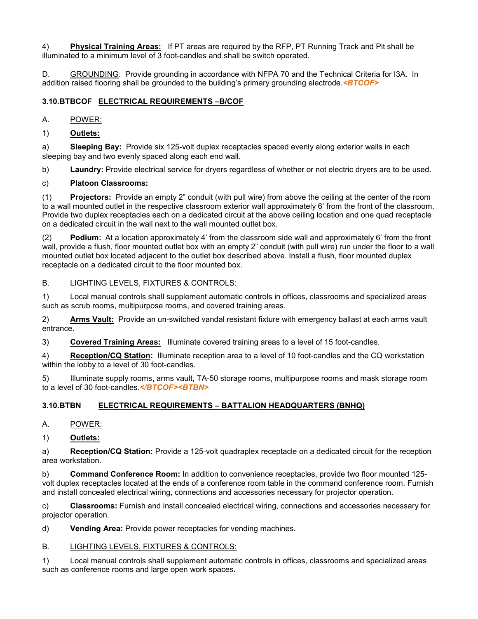4) **Physical Training Areas:**If PT areas are required by the RFP, PT Running Track and Pit shall be illuminated to a minimum level of 3 foot-candles and shall be switch operated.

D. GROUNDING: Provide grounding in accordance with NFPA 70 and the Technical Criteria for I3A. In addition raised flooring shall be grounded to the building's primary grounding electrode.*<BTCOF>*

# **3.10.BTBCOF ELECTRICAL REQUIREMENTS –B/COF**

#### A. POWER:

1) **Outlets:**

a) **Sleeping Bay:** Provide six 125-volt duplex receptacles spaced evenly along exterior walls in each sleeping bay and two evenly spaced along each end wall.

b) **Laundry:** Provide electrical service for dryers regardless of whether or not electric dryers are to be used.

#### c) **Platoon Classrooms:**

(1) **Projectors:** Provide an empty 2" conduit (with pull wire) from above the ceiling at the center of the room to a wall mounted outlet in the respective classroom exterior wall approximately 6' from the front of the classroom. Provide two duplex receptacles each on a dedicated circuit at the above ceiling location and one quad receptacle on a dedicated circuit in the wall next to the wall mounted outlet box.

(2) **Podium:** At a location approximately 4' from the classroom side wall and approximately 6' from the front wall, provide a flush, floor mounted outlet box with an empty 2" conduit (with pull wire) run under the floor to a wall mounted outlet box located adjacent to the outlet box described above. Install a flush, floor mounted duplex receptacle on a dedicated circuit to the floor mounted box.

#### B. LIGHTING LEVELS, FIXTURES & CONTROLS:

1) Local manual controls shall supplement automatic controls in offices, classrooms and specialized areas such as scrub rooms, multipurpose rooms, and covered training areas.

2) **Arms Vault:** Provide an un-switched vandal resistant fixture with emergency ballast at each arms vault entrance.

3) **Covered Training Areas:** Illuminate covered training areas to a level of 15 foot-candles.

4) **Reception/CQ Station:** Illuminate reception area to a level of 10 foot-candles and the CQ workstation within the lobby to a level of 30 foot-candles.

5) Illuminate supply rooms, arms vault, TA-50 storage rooms, multipurpose rooms and mask storage room to a level of 30 foot-candles.*</BTCOF><BTBN>*

#### **3.10.BTBN ELECTRICAL REQUIREMENTS – BATTALION HEADQUARTERS (BNHQ)**

A. POWER:

1) **Outlets:**

a) **Reception/CQ Station:** Provide a 125-volt quadraplex receptacle on a dedicated circuit for the reception area workstation.

b) **Command Conference Room:** In addition to convenience receptacles, provide two floor mounted 125 volt duplex receptacles located at the ends of a conference room table in the command conference room. Furnish and install concealed electrical wiring, connections and accessories necessary for projector operation.

c) **Classrooms:** Furnish and install concealed electrical wiring, connections and accessories necessary for projector operation.

d) **Vending Area:** Provide power receptacles for vending machines.

#### B. LIGHTING LEVELS, FIXTURES & CONTROLS:

1) Local manual controls shall supplement automatic controls in offices, classrooms and specialized areas such as conference rooms and large open work spaces.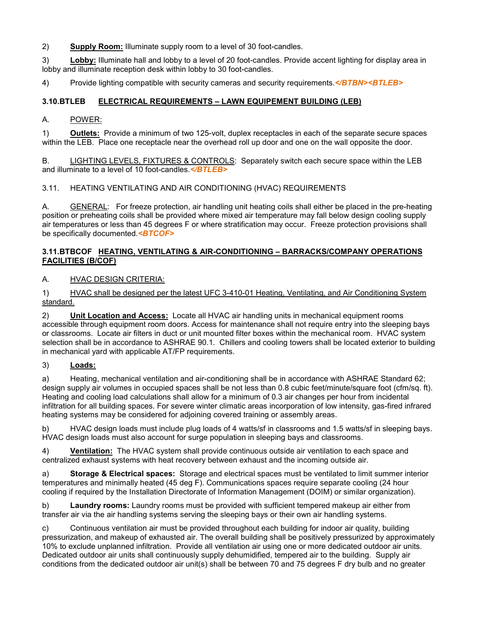2) **Supply Room:** Illuminate supply room to a level of 30 foot-candles.

3) **Lobby:** Illuminate hall and lobby to a level of 20 foot-candles. Provide accent lighting for display area in lobby and illuminate reception desk within lobby to 30 foot-candles.

4) Provide lighting compatible with security cameras and security requirements.*</BTBN><BTLEB>*

# **3.10.BTLEB ELECTRICAL REQUIREMENTS – LAWN EQUIPEMENT BUILDING (LEB)**

## A. POWER:

1) **Outlets:** Provide a minimum of two 125-volt, duplex receptacles in each of the separate secure spaces within the LEB. Place one receptacle near the overhead roll up door and one on the wall opposite the door.

B. LIGHTING LEVELS, FIXTURES & CONTROLS: Separately switch each secure space within the LEB and illuminate to a level of 10 foot-candles.*</BTLEB>*

## 3.11. HEATING VENTILATING AND AIR CONDITIONING (HVAC) REQUIREMENTS

A. GENERAL: For freeze protection, air handling unit heating coils shall either be placed in the pre-heating position or preheating coils shall be provided where mixed air temperature may fall below design cooling supply air temperatures or less than 45 degrees F or where stratification may occur. Freeze protection provisions shall be specifically documented.*<BTCOF>*

#### **3.11.BTBCOF HEATING, VENTILATING & AIR-CONDITIONING – BARRACKS/COMPANY OPERATIONS FACILITIES (B/COF)**

## A. HVAC DESIGN CRITERIA:

1) HVAC shall be designed per the latest UFC 3-410-01 Heating, Ventilating, and Air Conditioning System standard.

2) **Unit Location and Access:** Locate all HVAC air handling units in mechanical equipment rooms accessible through equipment room doors. Access for maintenance shall not require entry into the sleeping bays or classrooms. Locate air filters in duct or unit mounted filter boxes within the mechanical room. HVAC system selection shall be in accordance to ASHRAE 90.1. Chillers and cooling towers shall be located exterior to building in mechanical yard with applicable AT/FP requirements.

#### 3) **Loads:**

a) Heating, mechanical ventilation and air-conditioning shall be in accordance with ASHRAE Standard 62; design supply air volumes in occupied spaces shall be not less than 0.8 cubic feet/minute/square foot (cfm/sq. ft). Heating and cooling load calculations shall allow for a minimum of 0.3 air changes per hour from incidental infiltration for all building spaces. For severe winter climatic areas incorporation of low intensity, gas-fired infrared heating systems may be considered for adjoining covered training or assembly areas.

b) HVAC design loads must include plug loads of 4 watts/sf in classrooms and 1.5 watts/sf in sleeping bays. HVAC design loads must also account for surge population in sleeping bays and classrooms.

4) **Ventilation:** The HVAC system shall provide continuous outside air ventilation to each space and centralized exhaust systems with heat recovery between exhaust and the incoming outside air.

a) **Storage & Electrical spaces:** Storage and electrical spaces must be ventilated to limit summer interior temperatures and minimally heated (45 deg F). Communications spaces require separate cooling (24 hour cooling if required by the Installation Directorate of Information Management (DOIM) or similar organization).

b) **Laundry rooms:** Laundry rooms must be provided with sufficient tempered makeup air either from transfer air via the air handling systems serving the sleeping bays or their own air handling systems.

c) Continuous ventilation air must be provided throughout each building for indoor air quality, building pressurization, and makeup of exhausted air. The overall building shall be positively pressurized by approximately 10% to exclude unplanned infiltration. Provide all ventilation air using one or more dedicated outdoor air units. Dedicated outdoor air units shall continuously supply dehumidified, tempered air to the building. Supply air conditions from the dedicated outdoor air unit(s) shall be between 70 and 75 degrees F dry bulb and no greater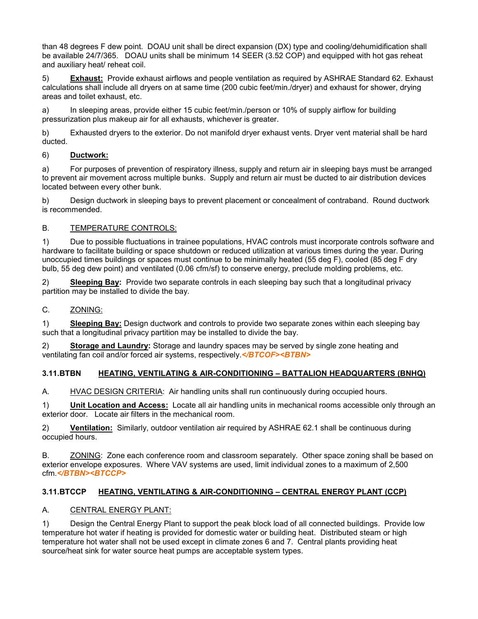than 48 degrees F dew point. DOAU unit shall be direct expansion (DX) type and cooling/dehumidification shall be available 24/7/365. DOAU units shall be minimum 14 SEER (3.52 COP) and equipped with hot gas reheat and auxiliary heat/ reheat coil.

5) **Exhaust:** Provide exhaust airflows and people ventilation as required by ASHRAE Standard 62. Exhaust calculations shall include all dryers on at same time (200 cubic feet/min./dryer) and exhaust for shower, drying areas and toilet exhaust, etc.

a) In sleeping areas, provide either 15 cubic feet/min./person or 10% of supply airflow for building pressurization plus makeup air for all exhausts, whichever is greater.

b) Exhausted dryers to the exterior. Do not manifold dryer exhaust vents. Dryer vent material shall be hard ducted.

## 6) **Ductwork:**

a) For purposes of prevention of respiratory illness, supply and return air in sleeping bays must be arranged to prevent air movement across multiple bunks. Supply and return air must be ducted to air distribution devices located between every other bunk.

b) Design ductwork in sleeping bays to prevent placement or concealment of contraband. Round ductwork is recommended.

## B. TEMPERATURE CONTROLS:

1) Due to possible fluctuations in trainee populations, HVAC controls must incorporate controls software and hardware to facilitate building or space shutdown or reduced utilization at various times during the year. During unoccupied times buildings or spaces must continue to be minimally heated (55 deg F), cooled (85 deg F dry bulb, 55 deg dew point) and ventilated (0.06 cfm/sf) to conserve energy, preclude molding problems, etc.

2) **Sleeping Bay:** Provide two separate controls in each sleeping bay such that a longitudinal privacy partition may be installed to divide the bay.

## C. ZONING:

1) **Sleeping Bay:** Design ductwork and controls to provide two separate zones within each sleeping bay such that a longitudinal privacy partition may be installed to divide the bay.

2) **Storage and Laundry:** Storage and laundry spaces may be served by single zone heating and ventilating fan coil and/or forced air systems, respectively.*</BTCOF><BTBN>*

# **3.11.BTBN HEATING, VENTILATING & AIR-CONDITIONING – BATTALION HEADQUARTERS (BNHQ)**

A. HVAC DESIGN CRITERIA: Air handling units shall run continuously during occupied hours.

1) **Unit Location and Access:** Locate all air handling units in mechanical rooms accessible only through an exterior door. Locate air filters in the mechanical room.

2) **Ventilation:** Similarly, outdoor ventilation air required by ASHRAE 62.1 shall be continuous during occupied hours.

B. ZONING: Zone each conference room and classroom separately. Other space zoning shall be based on exterior envelope exposures. Where VAV systems are used, limit individual zones to a maximum of 2,500 cfm.*</BTBN><BTCCP>*

# **3.11.BTCCP HEATING, VENTILATING & AIR-CONDITIONING – CENTRAL ENERGY PLANT (CCP)**

#### A. CENTRAL ENERGY PLANT:

1) Design the Central Energy Plant to support the peak block load of all connected buildings. Provide low temperature hot water if heating is provided for domestic water or building heat. Distributed steam or high temperature hot water shall not be used except in climate zones 6 and 7. Central plants providing heat source/heat sink for water source heat pumps are acceptable system types.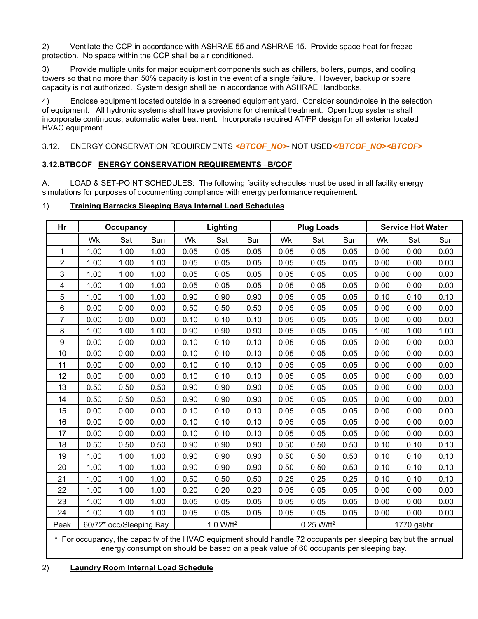2) Ventilate the CCP in accordance with ASHRAE 55 and ASHRAE 15. Provide space heat for freeze protection. No space within the CCP shall be air conditioned.

3) Provide multiple units for major equipment components such as chillers, boilers, pumps, and cooling towers so that no more than 50% capacity is lost in the event of a single failure. However, backup or spare capacity is not authorized. System design shall be in accordance with ASHRAE Handbooks.

4) Enclose equipment located outside in a screened equipment yard. Consider sound/noise in the selection of equipment. All hydronic systems shall have provisions for chemical treatment. Open loop systems shall incorporate continuous, automatic water treatment. Incorporate required AT/FP design for all exterior located HVAC equipment.

3.12. ENERGY CONSERVATION REQUIREMENTS <BTCOF\_NO>- NOT USED</BTCOF\_NO><BTCOF>

#### **3.12.BTBCOF ENERGY CONSERVATION REQUIREMENTS –B/COF**

A. LOAD & SET-POINT SCHEDULES: The following facility schedules must be used in all facility energy simulations for purposes of documenting compliance with energy performance requirement.

## 1) **Training Barracks Sleeping Bays Internal Load Schedules**

| Hr             |      | <b>Occupancy</b>        |      |      | Lighting              |      |      | <b>Plug Loads</b>      |      |      | <b>Service Hot Water</b> |      |
|----------------|------|-------------------------|------|------|-----------------------|------|------|------------------------|------|------|--------------------------|------|
|                | Wk   | Sat                     | Sun  | Wk   | Sat                   | Sun  | Wk   | Sat                    | Sun  | Wk   | Sat                      | Sun  |
| $\mathbf{1}$   | 1.00 | 1.00                    | 1.00 | 0.05 | 0.05                  | 0.05 | 0.05 | 0.05                   | 0.05 | 0.00 | 0.00                     | 0.00 |
| $\overline{2}$ | 1.00 | 1.00                    | 1.00 | 0.05 | 0.05                  | 0.05 | 0.05 | 0.05                   | 0.05 | 0.00 | 0.00                     | 0.00 |
| 3              | 1.00 | 1.00                    | 1.00 | 0.05 | 0.05                  | 0.05 | 0.05 | 0.05                   | 0.05 | 0.00 | 0.00                     | 0.00 |
| 4              | 1.00 | 1.00                    | 1.00 | 0.05 | 0.05                  | 0.05 | 0.05 | 0.05                   | 0.05 | 0.00 | 0.00                     | 0.00 |
| 5              | 1.00 | 1.00                    | 1.00 | 0.90 | 0.90                  | 0.90 | 0.05 | 0.05                   | 0.05 | 0.10 | 0.10                     | 0.10 |
| 6              | 0.00 | 0.00                    | 0.00 | 0.50 | 0.50                  | 0.50 | 0.05 | 0.05                   | 0.05 | 0.00 | 0.00                     | 0.00 |
| $\overline{7}$ | 0.00 | 0.00                    | 0.00 | 0.10 | 0.10                  | 0.10 | 0.05 | 0.05                   | 0.05 | 0.00 | 0.00                     | 0.00 |
| 8              | 1.00 | 1.00                    | 1.00 | 0.90 | 0.90                  | 0.90 | 0.05 | 0.05                   | 0.05 | 1.00 | 1.00                     | 1.00 |
| 9              | 0.00 | 0.00                    | 0.00 | 0.10 | 0.10                  | 0.10 | 0.05 | 0.05                   | 0.05 | 0.00 | 0.00                     | 0.00 |
| 10             | 0.00 | 0.00                    | 0.00 | 0.10 | 0.10                  | 0.10 | 0.05 | 0.05                   | 0.05 | 0.00 | 0.00                     | 0.00 |
| 11             | 0.00 | 0.00                    | 0.00 | 0.10 | 0.10                  | 0.10 | 0.05 | 0.05                   | 0.05 | 0.00 | 0.00                     | 0.00 |
| 12             | 0.00 | 0.00                    | 0.00 | 0.10 | 0.10                  | 0.10 | 0.05 | 0.05                   | 0.05 | 0.00 | 0.00                     | 0.00 |
| 13             | 0.50 | 0.50                    | 0.50 | 0.90 | 0.90                  | 0.90 | 0.05 | 0.05                   | 0.05 | 0.00 | 0.00                     | 0.00 |
| 14             | 0.50 | 0.50                    | 0.50 | 0.90 | 0.90                  | 0.90 | 0.05 | 0.05                   | 0.05 | 0.00 | 0.00                     | 0.00 |
| 15             | 0.00 | 0.00                    | 0.00 | 0.10 | 0.10                  | 0.10 | 0.05 | 0.05                   | 0.05 | 0.00 | 0.00                     | 0.00 |
| 16             | 0.00 | 0.00                    | 0.00 | 0.10 | 0.10                  | 0.10 | 0.05 | 0.05                   | 0.05 | 0.00 | 0.00                     | 0.00 |
| 17             | 0.00 | 0.00                    | 0.00 | 0.10 | 0.10                  | 0.10 | 0.05 | 0.05                   | 0.05 | 0.00 | 0.00                     | 0.00 |
| 18             | 0.50 | 0.50                    | 0.50 | 0.90 | 0.90                  | 0.90 | 0.50 | 0.50                   | 0.50 | 0.10 | 0.10                     | 0.10 |
| 19             | 1.00 | 1.00                    | 1.00 | 0.90 | 0.90                  | 0.90 | 0.50 | 0.50                   | 0.50 | 0.10 | 0.10                     | 0.10 |
| 20             | 1.00 | 1.00                    | 1.00 | 0.90 | 0.90                  | 0.90 | 0.50 | 0.50                   | 0.50 | 0.10 | 0.10                     | 0.10 |
| 21             | 1.00 | 1.00                    | 1.00 | 0.50 | 0.50                  | 0.50 | 0.25 | 0.25                   | 0.25 | 0.10 | 0.10                     | 0.10 |
| 22             | 1.00 | 1.00                    | 1.00 | 0.20 | 0.20                  | 0.20 | 0.05 | 0.05                   | 0.05 | 0.00 | 0.00                     | 0.00 |
| 23             | 1.00 | 1.00                    | 1.00 | 0.05 | 0.05                  | 0.05 | 0.05 | 0.05                   | 0.05 | 0.00 | 0.00                     | 0.00 |
| 24             | 1.00 | 1.00                    | 1.00 | 0.05 | 0.05                  | 0.05 | 0.05 | 0.05                   | 0.05 | 0.00 | 0.00                     | 0.00 |
| Peak           |      | 60/72* occ/Sleeping Bay |      |      | 1.0 W/ft <sup>2</sup> |      |      | 0.25 W/ft <sup>2</sup> |      |      | 1770 gal/hr              |      |

\* For occupancy, the capacity of the HVAC equipment should handle 72 occupants per sleeping bay but the annual energy consumption should be based on a peak value of 60 occupants per sleeping bay.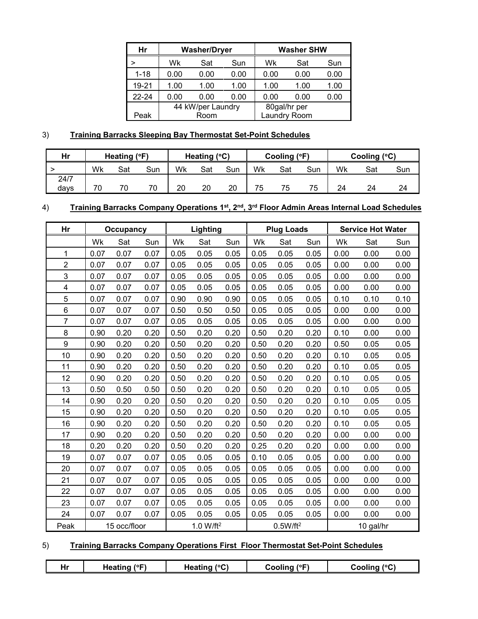| Hr       |      | <b>Washer/Dryer</b> |      |      | <b>Washer SHW</b> |      |
|----------|------|---------------------|------|------|-------------------|------|
|          | Wk   | Sat                 | Sun  | Wk   | Sat               | Sun  |
| $1 - 18$ | 0.00 | 0.00                | 0.00 | 0.00 | 0.00              | 0.00 |
| 19-21    | 1.00 | 1.00                | 1.00 | 1.00 | 1.00              | 1.00 |
| 22-24    | 0.00 | 0.00                | 0.00 | 0.00 | 0.00              | 0.00 |
|          |      | 44 kW/per Laundry   |      |      | 80gal/hr per      |      |
| Peak     |      | Room                |      |      | Laundry Room      |      |

# 3) **Training Barracks Sleeping Bay Thermostat Set-Point Schedules**

| Hr   |    | Heating (°F) |     |    | Heating $(^{\circ}C)$ |     |    | Cooling (°F) |     |    | Cooling $(^{\circ}C)$ |     |
|------|----|--------------|-----|----|-----------------------|-----|----|--------------|-----|----|-----------------------|-----|
|      | Wk | Sat          | Sun | Wk | Sat                   | Sun | Wk | Sat          | Sun | Wk | Sat                   | Sun |
| 24/7 |    |              |     |    |                       |     |    |              |     |    |                       |     |
| davs | 70 | 70           | 70  | 20 | 20                    | 20  | 75 | 75           | 75  | 24 | 24                    | 24  |

# 4) **Training Barracks Company Operations 1st, 2nd, 3rd Floor Admin Areas Internal Load Schedules**

| Hr                      |      | <b>Occupancy</b> |      |      | Lighting              |      |      | <b>Plug Loads</b>    |      |      | <b>Service Hot Water</b> |      |
|-------------------------|------|------------------|------|------|-----------------------|------|------|----------------------|------|------|--------------------------|------|
|                         | Wk   | Sat              | Sun  | Wk   | Sat                   | Sun  | Wk   | Sat                  | Sun  | Wk   | Sat                      | Sun  |
| 1                       | 0.07 | 0.07             | 0.07 | 0.05 | 0.05                  | 0.05 | 0.05 | 0.05                 | 0.05 | 0.00 | 0.00                     | 0.00 |
| $\overline{2}$          | 0.07 | 0.07             | 0.07 | 0.05 | 0.05                  | 0.05 | 0.05 | 0.05                 | 0.05 | 0.00 | 0.00                     | 0.00 |
| 3                       | 0.07 | 0.07             | 0.07 | 0.05 | 0.05                  | 0.05 | 0.05 | 0.05                 | 0.05 | 0.00 | 0.00                     | 0.00 |
| $\overline{\mathbf{4}}$ | 0.07 | 0.07             | 0.07 | 0.05 | 0.05                  | 0.05 | 0.05 | 0.05                 | 0.05 | 0.00 | 0.00                     | 0.00 |
| 5                       | 0.07 | 0.07             | 0.07 | 0.90 | 0.90                  | 0.90 | 0.05 | 0.05                 | 0.05 | 0.10 | 0.10                     | 0.10 |
| 6                       | 0.07 | 0.07             | 0.07 | 0.50 | 0.50                  | 0.50 | 0.05 | 0.05                 | 0.05 | 0.00 | 0.00                     | 0.00 |
| $\overline{7}$          | 0.07 | 0.07             | 0.07 | 0.05 | 0.05                  | 0.05 | 0.05 | 0.05                 | 0.05 | 0.00 | 0.00                     | 0.00 |
| 8                       | 0.90 | 0.20             | 0.20 | 0.50 | 0.20                  | 0.20 | 0.50 | 0.20                 | 0.20 | 0.10 | 0.00                     | 0.00 |
| 9                       | 0.90 | 0.20             | 0.20 | 0.50 | 0.20                  | 0.20 | 0.50 | 0.20                 | 0.20 | 0.50 | 0.05                     | 0.05 |
| 10                      | 0.90 | 0.20             | 0.20 | 0.50 | 0.20                  | 0.20 | 0.50 | 0.20                 | 0.20 | 0.10 | 0.05                     | 0.05 |
| 11                      | 0.90 | 0.20             | 0.20 | 0.50 | 0.20                  | 0.20 | 0.50 | 0.20                 | 0.20 | 0.10 | 0.05                     | 0.05 |
| 12                      | 0.90 | 0.20             | 0.20 | 0.50 | 0.20                  | 0.20 | 0.50 | 0.20                 | 0.20 | 0.10 | 0.05                     | 0.05 |
| 13                      | 0.50 | 0.50             | 0.50 | 0.50 | 0.20                  | 0.20 | 0.50 | 0.20                 | 0.20 | 0.10 | 0.05                     | 0.05 |
| 14                      | 0.90 | 0.20             | 0.20 | 0.50 | 0.20                  | 0.20 | 0.50 | 0.20                 | 0.20 | 0.10 | 0.05                     | 0.05 |
| 15                      | 0.90 | 0.20             | 0.20 | 0.50 | 0.20                  | 0.20 | 0.50 | 0.20                 | 0.20 | 0.10 | 0.05                     | 0.05 |
| 16                      | 0.90 | 0.20             | 0.20 | 0.50 | 0.20                  | 0.20 | 0.50 | 0.20                 | 0.20 | 0.10 | 0.05                     | 0.05 |
| 17                      | 0.90 | 0.20             | 0.20 | 0.50 | 0.20                  | 0.20 | 0.50 | 0.20                 | 0.20 | 0.00 | 0.00                     | 0.00 |
| 18                      | 0.20 | 0.20             | 0.20 | 0.50 | 0.20                  | 0.20 | 0.25 | 0.20                 | 0.20 | 0.00 | 0.00                     | 0.00 |
| 19                      | 0.07 | 0.07             | 0.07 | 0.05 | 0.05                  | 0.05 | 0.10 | 0.05                 | 0.05 | 0.00 | 0.00                     | 0.00 |
| 20                      | 0.07 | 0.07             | 0.07 | 0.05 | 0.05                  | 0.05 | 0.05 | 0.05                 | 0.05 | 0.00 | 0.00                     | 0.00 |
| 21                      | 0.07 | 0.07             | 0.07 | 0.05 | 0.05                  | 0.05 | 0.05 | 0.05                 | 0.05 | 0.00 | 0.00                     | 0.00 |
| 22                      | 0.07 | 0.07             | 0.07 | 0.05 | 0.05                  | 0.05 | 0.05 | 0.05                 | 0.05 | 0.00 | 0.00                     | 0.00 |
| 23                      | 0.07 | 0.07             | 0.07 | 0.05 | 0.05                  | 0.05 | 0.05 | 0.05                 | 0.05 | 0.00 | 0.00                     | 0.00 |
| 24                      | 0.07 | 0.07             | 0.07 | 0.05 | 0.05                  | 0.05 | 0.05 | 0.05                 | 0.05 | 0.00 | 0.00                     | 0.00 |
| Peak                    |      | 15 occ/floor     |      |      | 1.0 W/ft <sup>2</sup> |      |      | 0.5W/ft <sup>2</sup> |      |      | 10 gal/hr                |      |

# 5) **Training Barracks Company Operations First Floor Thermostat Set-Point Schedules**

| Hr | IO<br><b>Hea</b> ، | $n \alpha$ ( $0 \cap \beta$<br>neati | 10E | $10^{\circ}$ |
|----|--------------------|--------------------------------------|-----|--------------|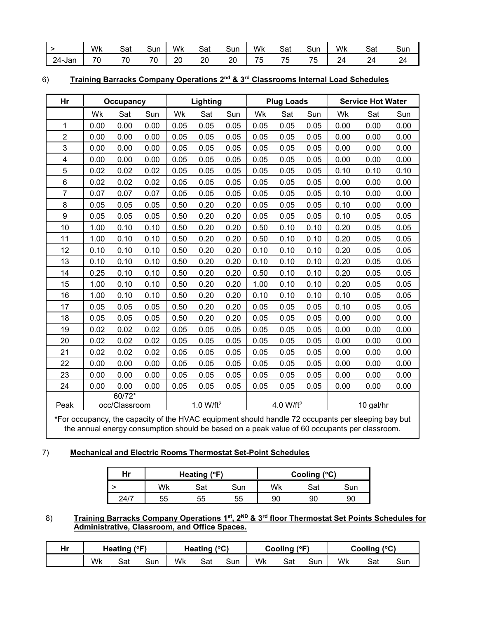|        | Wk | Sat     | Sun                            | Wk | Sat       | Sun             | Wk                            | Sat     | Sun                            | Wk      | $\sim$<br>Sat   | Sun        |
|--------|----|---------|--------------------------------|----|-----------|-----------------|-------------------------------|---------|--------------------------------|---------|-----------------|------------|
| 24-Jan | 70 | 70<br>╰ | $\overline{\phantom{a}}$<br>′∪ | 20 | 20<br>___ | ററ<br>∠∪<br>___ | $\overline{\phantom{a}}$<br>∽ | 75<br>ັ | 75<br>$\overline{\phantom{a}}$ | 24<br>- | 74<br><b>__</b> | ົາ 4<br>24 |

| 6) |  |  |  | Training Barracks Company Operations 2 <sup>nd</sup> & 3 <sup>rd</sup> Classrooms Internal Load Schedules |  |
|----|--|--|--|-----------------------------------------------------------------------------------------------------------|--|
|----|--|--|--|-----------------------------------------------------------------------------------------------------------|--|

| Hr                      |      | Occupancy               |      |                             | Lighting              |      |                                           | <b>Plug Loads</b>     |      |      | <b>Service Hot Water</b> |      |
|-------------------------|------|-------------------------|------|-----------------------------|-----------------------|------|-------------------------------------------|-----------------------|------|------|--------------------------|------|
|                         | Wk   | Sat                     | Sun  | Wk                          | Sat                   | Sun  | Wk                                        | Sat                   | Sun  | Wk   | Sat                      | Sun  |
| 1                       | 0.00 | 0.00                    | 0.00 | 0.05                        | 0.05                  | 0.05 | 0.05                                      | 0.05                  | 0.05 | 0.00 | 0.00                     | 0.00 |
| $\boldsymbol{2}$        | 0.00 | 0.00                    | 0.00 | 0.05                        | 0.05                  | 0.05 | 0.05                                      | 0.05                  | 0.05 | 0.00 | 0.00                     | 0.00 |
| 3                       | 0.00 | 0.00                    | 0.00 | 0.05                        | 0.05                  | 0.05 | 0.05                                      | 0.05                  | 0.05 | 0.00 | 0.00                     | 0.00 |
| $\overline{\mathbf{4}}$ | 0.00 | 0.00                    | 0.00 | 0.05                        | 0.05                  | 0.05 | 0.05                                      | 0.05                  | 0.05 | 0.00 | 0.00                     | 0.00 |
| 5                       | 0.02 | 0.02                    | 0.02 | 0.05                        | 0.05                  | 0.05 | 0.05                                      | 0.05                  | 0.05 | 0.10 | 0.10                     | 0.10 |
| $6\phantom{1}$          | 0.02 | 0.02                    | 0.02 | 0.05                        | 0.05                  | 0.05 | 0.05                                      | 0.05                  | 0.05 | 0.00 | 0.00                     | 0.00 |
| $\overline{7}$          | 0.07 | 0.07                    | 0.07 | 0.05                        | 0.05                  | 0.05 | 0.05                                      | 0.05                  | 0.05 | 0.10 | 0.00                     | 0.00 |
| 8                       | 0.05 | 0.05                    | 0.05 | 0.50                        | 0.20                  | 0.20 | 0.05                                      | 0.05                  | 0.05 | 0.10 | 0.00                     | 0.00 |
| 9                       | 0.05 | 0.05                    | 0.05 | 0.50                        | 0.20                  | 0.20 | 0.05                                      | 0.05                  | 0.05 | 0.10 | 0.05                     | 0.05 |
| 10                      | 1.00 | 0.10                    | 0.10 | 0.50                        | 0.20                  | 0.20 | 0.50                                      | 0.10                  | 0.10 | 0.20 | 0.05                     | 0.05 |
| 11                      | 1.00 | 0.10                    | 0.10 | 0.50                        | 0.20                  | 0.20 | 0.50                                      | 0.10                  | 0.10 | 0.20 | 0.05                     | 0.05 |
| 12                      | 0.10 | 0.10                    | 0.10 | 0.50                        | 0.20                  | 0.20 | 0.10                                      | 0.10                  | 0.10 | 0.20 | 0.05                     | 0.05 |
| 13                      | 0.10 | 0.10                    | 0.10 | 0.50                        | 0.20                  | 0.20 | 0.10                                      | 0.10                  | 0.10 | 0.20 | 0.05                     | 0.05 |
| 14                      | 0.25 | 0.10                    | 0.10 | 0.50                        | 0.20                  | 0.20 | 0.50                                      | 0.10                  | 0.10 | 0.20 | 0.05                     | 0.05 |
| 15                      | 1.00 | 0.10                    | 0.10 | 0.50                        | 0.20                  | 0.20 | 1.00                                      | 0.10                  | 0.10 | 0.20 | 0.05                     | 0.05 |
| 16                      | 1.00 | 0.10                    | 0.10 | 0.50                        | 0.20                  | 0.20 | 0.10                                      | 0.10                  | 0.10 | 0.10 | 0.05                     | 0.05 |
| 17                      | 0.05 | 0.05                    | 0.05 | 0.50                        | 0.20                  | 0.20 | 0.05                                      | 0.05                  | 0.05 | 0.10 | 0.05                     | 0.05 |
| 18                      | 0.05 | 0.05                    | 0.05 | 0.50                        | 0.20                  | 0.20 | 0.05                                      | 0.05                  | 0.05 | 0.00 | 0.00                     | 0.00 |
| 19                      | 0.02 | 0.02                    | 0.02 | 0.05                        | 0.05                  | 0.05 | 0.05                                      | 0.05                  | 0.05 | 0.00 | 0.00                     | 0.00 |
| 20                      | 0.02 | 0.02                    | 0.02 | 0.05                        | 0.05                  | 0.05 | 0.05                                      | 0.05                  | 0.05 | 0.00 | 0.00                     | 0.00 |
| 21                      | 0.02 | 0.02                    | 0.02 | 0.05                        | 0.05                  | 0.05 | 0.05                                      | 0.05                  | 0.05 | 0.00 | 0.00                     | 0.00 |
| 22                      | 0.00 | 0.00                    | 0.00 | 0.05                        | 0.05                  | 0.05 | 0.05                                      | 0.05                  | 0.05 | 0.00 | 0.00                     | 0.00 |
| 23                      | 0.00 | 0.00                    | 0.00 | 0.05                        | 0.05                  | 0.05 | 0.05                                      | 0.05                  | 0.05 | 0.00 | 0.00                     | 0.00 |
| 24                      | 0.00 | 0.00                    | 0.00 | 0.05                        | 0.05                  | 0.05 | 0.05                                      | 0.05                  | 0.05 | 0.00 | 0.00                     | 0.00 |
| Peak                    |      | 60/72*<br>occ/Classroom |      | $\sim$ $\sim$ $\sim$ $\sim$ | 1.0 W/ft <sup>2</sup> |      | $\sim$ $\sim$ $\sim$ $\sim$ $\sim$ $\sim$ | 4.0 W/ft <sup>2</sup> |      |      | 10 gal/hr                |      |

**\***For occupancy, the capacity of the HVAC equipment should handle 72 occupants per sleeping bay but the annual energy consumption should be based on a peak value of 60 occupants per classroom.

## 7) **Mechanical and Electric Rooms Thermostat Set-Point Schedules**

| Hr   |    | Heating (°F) |     | Cooling (°C) |     |     |  |
|------|----|--------------|-----|--------------|-----|-----|--|
|      | Wk | ۹n C         | Sun | Wk           | Sat | Sun |  |
| 24/7 | 55 | 55           | 55  | 90           | 90  | 90  |  |

8) **Training Barracks Company Operations 1st, 2ND & 3rd floor Thermostat Set Points Schedules for Administrative, Classroom, and Office Spaces.**

| Hr | Heating $(°F)$ |     | Heating $(^{\circ}C)$ |    | Cooling<br>$1^{\circ}$ |     |    | (°C)<br>Cooling |     |    |     |     |
|----|----------------|-----|-----------------------|----|------------------------|-----|----|-----------------|-----|----|-----|-----|
|    | Wk             | Sat | Sun                   | Wk | Sat                    | Sun | Wk | Sat             | Sun | Wk | Sat | Sun |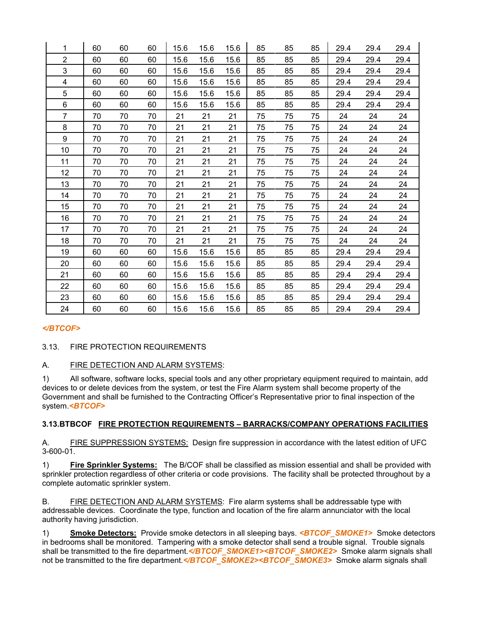| 1              | 60 | 60 | 60 | 15.6 | 15.6 | 15.6 | 85 | 85 | 85 | 29.4 | 29.4 | 29.4 |
|----------------|----|----|----|------|------|------|----|----|----|------|------|------|
| $\overline{2}$ | 60 | 60 | 60 | 15.6 | 15.6 | 15.6 | 85 | 85 | 85 | 29.4 | 29.4 | 29.4 |
| 3              | 60 | 60 | 60 | 15.6 | 15.6 | 15.6 | 85 | 85 | 85 | 29.4 | 29.4 | 29.4 |
| 4              | 60 | 60 | 60 | 15.6 | 15.6 | 15.6 | 85 | 85 | 85 | 29.4 | 29.4 | 29.4 |
| 5              | 60 | 60 | 60 | 15.6 | 15.6 | 15.6 | 85 | 85 | 85 | 29.4 | 29.4 | 29.4 |
| 6              | 60 | 60 | 60 | 15.6 | 15.6 | 15.6 | 85 | 85 | 85 | 29.4 | 29.4 | 29.4 |
| 7              | 70 | 70 | 70 | 21   | 21   | 21   | 75 | 75 | 75 | 24   | 24   | 24   |
| 8              | 70 | 70 | 70 | 21   | 21   | 21   | 75 | 75 | 75 | 24   | 24   | 24   |
| 9              | 70 | 70 | 70 | 21   | 21   | 21   | 75 | 75 | 75 | 24   | 24   | 24   |
| 10             | 70 | 70 | 70 | 21   | 21   | 21   | 75 | 75 | 75 | 24   | 24   | 24   |
| 11             | 70 | 70 | 70 | 21   | 21   | 21   | 75 | 75 | 75 | 24   | 24   | 24   |
| 12             | 70 | 70 | 70 | 21   | 21   | 21   | 75 | 75 | 75 | 24   | 24   | 24   |
| 13             | 70 | 70 | 70 | 21   | 21   | 21   | 75 | 75 | 75 | 24   | 24   | 24   |
| 14             | 70 | 70 | 70 | 21   | 21   | 21   | 75 | 75 | 75 | 24   | 24   | 24   |
| 15             | 70 | 70 | 70 | 21   | 21   | 21   | 75 | 75 | 75 | 24   | 24   | 24   |
| 16             | 70 | 70 | 70 | 21   | 21   | 21   | 75 | 75 | 75 | 24   | 24   | 24   |
| 17             | 70 | 70 | 70 | 21   | 21   | 21   | 75 | 75 | 75 | 24   | 24   | 24   |
| 18             | 70 | 70 | 70 | 21   | 21   | 21   | 75 | 75 | 75 | 24   | 24   | 24   |
| 19             | 60 | 60 | 60 | 15.6 | 15.6 | 15.6 | 85 | 85 | 85 | 29.4 | 29.4 | 29.4 |
| 20             | 60 | 60 | 60 | 15.6 | 15.6 | 15.6 | 85 | 85 | 85 | 29.4 | 29.4 | 29.4 |
| 21             | 60 | 60 | 60 | 15.6 | 15.6 | 15.6 | 85 | 85 | 85 | 29.4 | 29.4 | 29.4 |
| 22             | 60 | 60 | 60 | 15.6 | 15.6 | 15.6 | 85 | 85 | 85 | 29.4 | 29.4 | 29.4 |
| 23             | 60 | 60 | 60 | 15.6 | 15.6 | 15.6 | 85 | 85 | 85 | 29.4 | 29.4 | 29.4 |
| 24             | 60 | 60 | 60 | 15.6 | 15.6 | 15.6 | 85 | 85 | 85 | 29.4 | 29.4 | 29.4 |

# *</BTCOF>*

#### 3.13. FIRE PROTECTION REQUIREMENTS

#### A. FIRE DETECTION AND ALARM SYSTEMS:

1) All software, software locks, special tools and any other proprietary equipment required to maintain, add devices to or delete devices from the system, or test the Fire Alarm system shall become property of the Government and shall be furnished to the Contracting Officer's Representative prior to final inspection of the system.*<BTCOF>*

#### **3.13.BTBCOF FIRE PROTECTION REQUIREMENTS – BARRACKS/COMPANY OPERATIONS FACILITIES**

A. **FIRE SUPPRESSION SYSTEMS:** Design fire suppression in accordance with the latest edition of UFC  $3-600-01$ .

1) **Fire Sprinkler Systems:** The B/COF shall be classified as mission essential and shall be provided with sprinkler protection regardless of other criteria or code provisions. The facility shall be protected throughout by a complete automatic sprinkler system.

B. FIRE DETECTION AND ALARM SYSTEMS: Fire alarm systems shall be addressable type with addressable devices. Coordinate the type, function and location of the fire alarm annunciator with the local authority having jurisdiction.

1) **Smoke Detectors:** Provide smoke detectors in all sleeping bays. *<BTCOF\_SMOKE1>* Smoke detectors in bedrooms shall be monitored. Tampering with a smoke detector shall send a trouble signal. Trouble signals shall be transmitted to the fire department. **BICOF SMOKE1><BTCOF SMOKE2>** Smoke alarm signals shall not be transmitted to the fire department.</BTCOF\_SMOKE2><BTCOF\_SMOKE3> Smoke alarm signals shall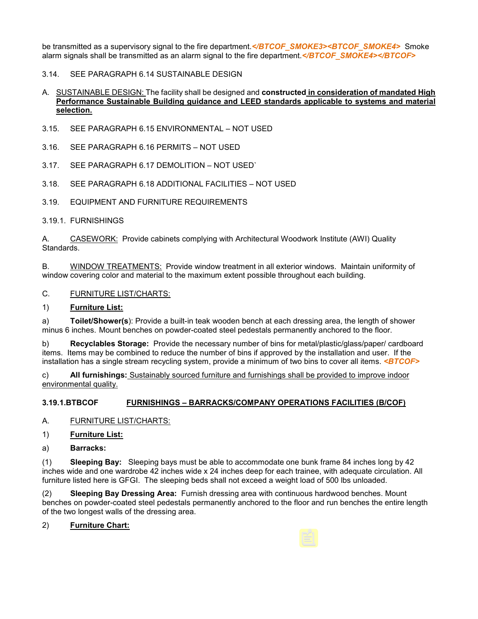be transmitted as a supervisory signal to the fire department.*</BTCOF\_SMOKE3><BTCOF\_SMOKE4>* Smoke alarm signals shall be transmitted as an alarm signal to the fire department.*</BTCOF\_SMOKE4></BTCOF>*

#### 3.14. SEE PARAGRAPH 6.14 SUSTAINABLE DESIGN

#### A. SUSTAINABLE DESIGN: The facility shall be designed and **constructed in consideration of mandated High Performance Sustainable Building guidance and LEED standards applicable to systems and material selection.**

- 3.15. SEE PARAGRAPH 6.15 ENVIRONMENTAL NOT USED
- 3.16. SEE PARAGRAPH 6.16 PERMITS NOT USED
- 3.17. SEE PARAGRAPH 6.17 DEMOLITION NOT USED`
- 3.18. SEE PARAGRAPH 6.18 ADDITIONAL FACILITIES NOT USED
- 3.19. EQUIPMENT AND FURNITURE REQUIREMENTS
- 3.19.1. FURNISHINGS

A. CASEWORK: Provide cabinets complying with Architectural Woodwork Institute (AWI) Quality Standards.

B. WINDOW TREATMENTS: Provide window treatment in all exterior windows. Maintain uniformity of window covering color and material to the maximum extent possible throughout each building.

#### C. FURNITURE LIST/CHARTS:

#### 1) **Furniture List:**

a) **Toilet/Shower(s**): Provide a built-in teak wooden bench at each dressing area, the length of shower minus 6 inches. Mount benches on powder-coated steel pedestals permanently anchored to the floor.

b) **Recyclables Storage:** Provide the necessary number of bins for metal/plastic/glass/paper/ cardboard items. Items may be combined to reduce the number of bins if approved by the installation and user. If the installation has a single stream recycling system, provide a minimum of two bins to cover all items. *<BTCOF>*

c) **All furnishings:** Sustainably sourced furniture and furnishings shall be provided to improve indoor environmental quality.

#### **3.19.1.BTBCOF FURNISHINGS – BARRACKS/COMPANY OPERATIONS FACILITIES (B/COF)**

A. FURNITURE LIST/CHARTS:

- 1) **Furniture List:**
- a) **Barracks:**

(1) **Sleeping Bay:** Sleeping bays must be able to accommodate one bunk frame 84 inches long by 42 inches wide and one wardrobe 42 inches wide x 24 inches deep for each trainee, with adequate circulation. All furniture listed here is GFGI. The sleeping beds shall not exceed a weight load of 500 lbs unloaded.

(2) **Sleeping Bay Dressing Area:** Furnish dressing area with continuous hardwood benches. Mount benches on powder-coated steel pedestals permanently anchored to the floor and run benches the entire length of the two longest walls of the dressing area.

2) **Furniture Chart:**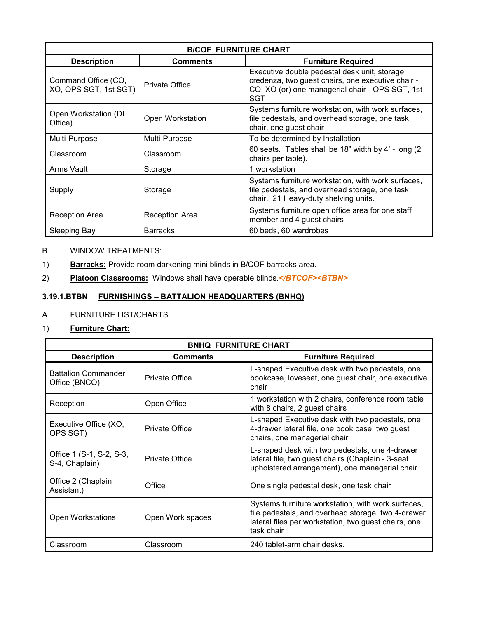| <b>B/COF FURNITURE CHART</b>                 |                       |                                                                                                                                                             |  |  |  |  |  |
|----------------------------------------------|-----------------------|-------------------------------------------------------------------------------------------------------------------------------------------------------------|--|--|--|--|--|
| <b>Description</b>                           | <b>Comments</b>       | <b>Furniture Required</b>                                                                                                                                   |  |  |  |  |  |
| Command Office (CO,<br>XO, OPS SGT, 1st SGT) | <b>Private Office</b> | Executive double pedestal desk unit, storage<br>credenza, two guest chairs, one executive chair -<br>CO, XO (or) one managerial chair - OPS SGT, 1st<br>SGT |  |  |  |  |  |
| Open Workstation (DI<br>Office)              | Open Workstation      | Systems furniture workstation, with work surfaces,<br>file pedestals, and overhead storage, one task<br>chair, one guest chair                              |  |  |  |  |  |
| Multi-Purpose                                | Multi-Purpose         | To be determined by Installation                                                                                                                            |  |  |  |  |  |
| Classroom                                    | Classroom             | 60 seats. Tables shall be 18" width by 4' - long (2)<br>chairs per table).                                                                                  |  |  |  |  |  |
| Arms Vault                                   | Storage               | 1 workstation                                                                                                                                               |  |  |  |  |  |
| Supply                                       | Storage               | Systems furniture workstation, with work surfaces,<br>file pedestals, and overhead storage, one task<br>chair. 21 Heavy-duty shelving units.                |  |  |  |  |  |
| <b>Reception Area</b>                        | <b>Reception Area</b> | Systems furniture open office area for one staff<br>member and 4 guest chairs                                                                               |  |  |  |  |  |
| Sleeping Bay                                 | <b>Barracks</b>       | 60 beds, 60 wardrobes                                                                                                                                       |  |  |  |  |  |

# B. WINDOW TREATMENTS:

1) **Barracks:** Provide room darkening mini blinds in B/COF barracks area.

2) **Platoon Classrooms:** Windows shall have operable blinds.*</BTCOF><BTBN>*

## **3.19.1.BTBN FURNISHINGS – BATTALION HEADQUARTERS (BNHQ)**

# A. FURNITURE LIST/CHARTS

#### 1) **Furniture Chart:**

| <b>BNHQ FURNITURE CHART</b>                 |                       |                                                                                                                                                                                |  |  |  |  |  |
|---------------------------------------------|-----------------------|--------------------------------------------------------------------------------------------------------------------------------------------------------------------------------|--|--|--|--|--|
| <b>Description</b>                          | <b>Comments</b>       | <b>Furniture Required</b>                                                                                                                                                      |  |  |  |  |  |
| <b>Battalion Commander</b><br>Office (BNCO) | <b>Private Office</b> | L-shaped Executive desk with two pedestals, one<br>bookcase, loveseat, one guest chair, one executive<br>chair                                                                 |  |  |  |  |  |
| Reception                                   | Open Office           | 1 workstation with 2 chairs, conference room table<br>with 8 chairs, 2 guest chairs                                                                                            |  |  |  |  |  |
| Executive Office (XO,<br>OPS SGT)           | <b>Private Office</b> | L-shaped Executive desk with two pedestals, one<br>4-drawer lateral file, one book case, two quest<br>chairs, one managerial chair                                             |  |  |  |  |  |
| Office 1 (S-1, S-2, S-3,<br>S-4, Chaplain)  | Private Office        | L-shaped desk with two pedestals, one 4-drawer<br>lateral file, two guest chairs (Chaplain - 3-seat<br>upholstered arrangement), one managerial chair                          |  |  |  |  |  |
| Office 2 (Chaplain<br>Assistant)            | Office                | One single pedestal desk, one task chair                                                                                                                                       |  |  |  |  |  |
| <b>Open Workstations</b>                    | Open Work spaces      | Systems furniture workstation, with work surfaces,<br>file pedestals, and overhead storage, two 4-drawer<br>lateral files per workstation, two guest chairs, one<br>task chair |  |  |  |  |  |
| Classroom                                   | Classroom             | 240 tablet-arm chair desks.                                                                                                                                                    |  |  |  |  |  |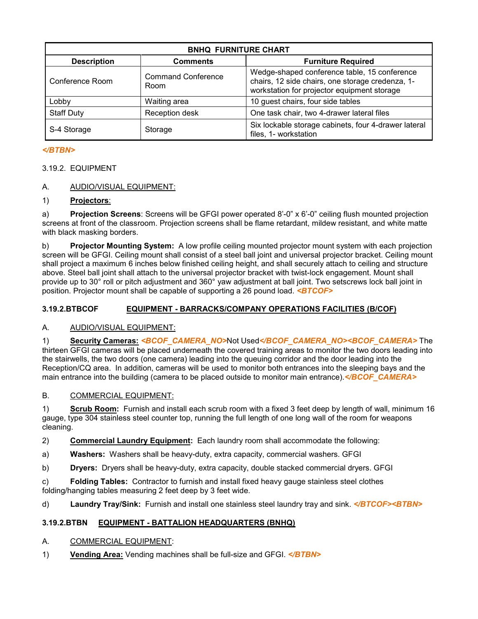| <b>BNHQ FURNITURE CHART</b>                          |                 |                                                                                                                                                 |  |  |  |  |
|------------------------------------------------------|-----------------|-------------------------------------------------------------------------------------------------------------------------------------------------|--|--|--|--|
| <b>Description</b>                                   | <b>Comments</b> | <b>Furniture Required</b>                                                                                                                       |  |  |  |  |
| <b>Command Conference</b><br>Conference Room<br>Room |                 | Wedge-shaped conference table, 15 conference<br>chairs, 12 side chairs, one storage credenza, 1-<br>workstation for projector equipment storage |  |  |  |  |
| Lobby                                                | Waiting area    | 10 guest chairs, four side tables                                                                                                               |  |  |  |  |
| <b>Staff Duty</b>                                    | Reception desk  | One task chair, two 4-drawer lateral files                                                                                                      |  |  |  |  |
| S-4 Storage                                          | Storage         | Six lockable storage cabinets, four 4-drawer lateral<br>files, 1- workstation                                                                   |  |  |  |  |

# *</BTBN>*

# 3.19.2. EQUIPMENT

# A. AUDIO/VISUAL EQUIPMENT:

## 1) **Projectors**:

a) **Projection Screens**: Screens will be GFGI power operated 8'-0" x 6'-0" ceiling flush mounted projection screens at front of the classroom. Projection screens shall be flame retardant, mildew resistant, and white matte with black masking borders.

b) **Projector Mounting System:** A low profile ceiling mounted projector mount system with each projection screen will be GFGI. Ceiling mount shall consist of a steel ball joint and universal projector bracket. Ceiling mount shall project a maximum 6 inches below finished ceiling height, and shall securely attach to ceiling and structure above. Steel ball joint shall attach to the universal projector bracket with twist-lock engagement. Mount shall provide up to 30° roll or pitch adjustment and 360° yaw adjustment at ball joint. Two setscrews lock ball joint in position. Projector mount shall be capable of supporting a 26 pound load. *<BTCOF>*

# **3.19.2.BTBCOF EQUIPMENT - BARRACKS/COMPANY OPERATIONS FACILITIES (B/COF)**

# A. AUDIO/VISUAL EQUIPMENT:

1) **Security Cameras:** *<BCOF\_CAMERA\_NO>*Not Used*</BCOF\_CAMERA\_NO><BCOF\_CAMERA>* The thirteen GFGI cameras will be placed underneath the covered training areas to monitor the two doors leading into the stairwells, the two doors (one camera) leading into the queuing corridor and the door leading into the Reception/CQ area. In addition, cameras will be used to monitor both entrances into the sleeping bays and the main entrance into the building (camera to be placed outside to monitor main entrance). *</BCOF CAMERA>* 

# B. COMMERCIAL EQUIPMENT:

1) **Scrub Room:** Furnish and install each scrub room with a fixed 3 feet deep by length of wall, minimum 16 gauge, type 304 stainless steel counter top, running the full length of one long wall of the room for weapons cleaning.

- 2) **Commercial Laundry Equipment:** Each laundry room shall accommodate the following:
- a) **Washers:** Washers shall be heavy-duty, extra capacity, commercial washers. GFGI
- b) **Dryers:** Dryers shall be heavy-duty, extra capacity, double stacked commercial dryers. GFGI

c) **Folding Tables:** Contractor to furnish and install fixed heavy gauge stainless steel clothes folding/hanging tables measuring 2 feet deep by 3 feet wide.

d) **Laundry Tray/Sink:** Furnish and install one stainless steel laundry tray and sink. *</BTCOF><BTBN>*

# **3.19.2.BTBN EQUIPMENT - BATTALION HEADQUARTERS (BNHQ)**

- A. COMMERCIAL EQUIPMENT:
- 1) **Vending Area:** Vending machines shall be full-size and GFGI. *</BTBN>*